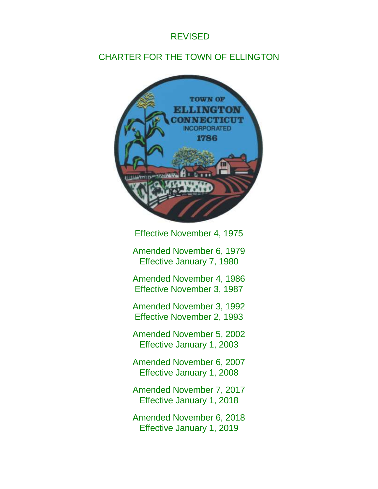# REVISED

# CHARTER FOR THE TOWN OF ELLINGTON



Effective November 4, 1975

Amended November 6, 1979 Effective January 7, 1980

Amended November 4, 1986 Effective November 3, 1987

Amended November 3, 1992 Effective November 2, 1993

Amended November 5, 2002 Effective January 1, 2003

Amended November 6, 2007 Effective January 1, 2008

Amended November 7, 2017 Effective January 1, 2018

Amended November 6, 2018 Effective January 1, 2019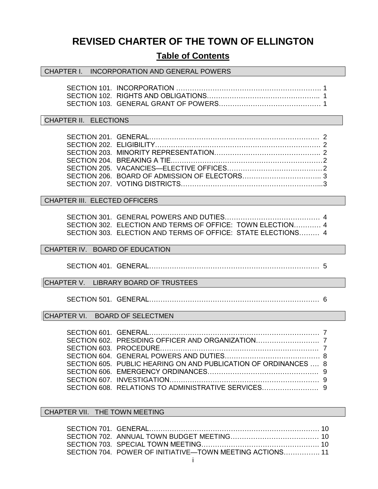# **REVISED CHARTER OF THE TOWN OF ELLINGTON**

## **Table of Contents**

#### CHAPTER I. INCORPORATION AND GENERAL POWERS

#### CHAPTER II. ELECTIONS

#### CHAPTER III. ELECTED OFFICERS

SECTION 301. GENERAL POWERS AND DUTIES…………………………………… 4 SECTION 302. ELECTION AND TERMS OF OFFICE: TOWN ELECTION………… 4 SECTION 303. ELECTION AND TERMS OF OFFICE: STATE ELECTIONS……… 4

#### CHAPTER IV. BOARD OF EDUCATION

SECTION 401. GENERAL………………………………………………………………… 5

CHAPTER V. LIBRARY BOARD OF TRUSTEES

SECTION 501. GENERAL………………………………………………………………… 6

CHAPTER VI. BOARD OF SELECTMEN

| SECTION 605. PUBLIC HEARING ON AND PUBLICATION OF ORDINANCES  8 |  |
|-----------------------------------------------------------------|--|
|                                                                 |  |
|                                                                 |  |
|                                                                 |  |
|                                                                 |  |

CHAPTER VII. THE TOWN MEETING

| SECTION 704. POWER OF INITIATIVE—TOWN MEETING ACTIONS 11 |  |
|----------------------------------------------------------|--|
|                                                          |  |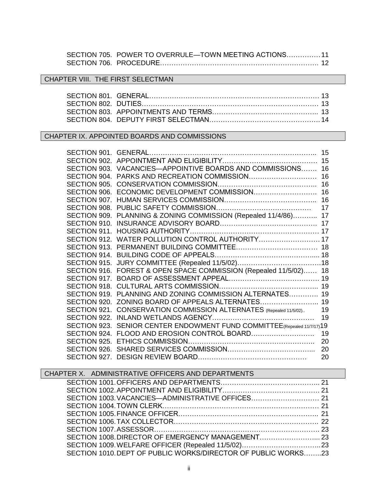| SECTION 705. POWER TO OVERRULE-TOWN MEETING ACTIONS 11 |  |
|--------------------------------------------------------|--|
|                                                        |  |

## CHAPTER VIII. THE FIRST SELECTMAN

## CHAPTER IX. APPOINTED BOARDS AND COMMISSIONS

|              |                                                                   | 15 |
|--------------|-------------------------------------------------------------------|----|
| SECTION 902. |                                                                   | 15 |
| SECTION 903. | VACANCIES-APPOINTIVE BOARDS AND COMMISSIONS                       | 16 |
| SECTION 904. |                                                                   | 16 |
| SECTION 905. |                                                                   | 16 |
| SECTION 906. |                                                                   | 16 |
| SECTION 907. |                                                                   | 16 |
| SECTION 908. |                                                                   | 17 |
| SECTION 909. | PLANNING & ZONING COMMISSION (Repealed 11/4/86) 17                |    |
| SECTION 910. |                                                                   | 17 |
| SECTION 911. |                                                                   |    |
|              | SECTION 912. WATER POLLUTION CONTROL AUTHORITY 17                 |    |
| SECTION 913. |                                                                   |    |
| SECTION 914. |                                                                   |    |
| SECTION 915. |                                                                   |    |
|              | SECTION 916. FOREST & OPEN SPACE COMMISSION (Repealed 11/5/02) 18 |    |
| SECTION 917. |                                                                   |    |
| SECTION 918. |                                                                   |    |
| SECTION 919. | PLANNING AND ZONING COMMISSION ALTERNATES 19                      |    |
|              | SECTION 920. ZONING BOARD OF APPEALS ALTERNATES 19                |    |
| SECTION 921. | CONSERVATION COMMISSION ALTERNATES (Repealed 11/5/02)             | 19 |
| SECTION 922. |                                                                   | 19 |
| SECTION 923. | SENIOR CENTER ENDOWMENT FUND COMMITTEE (Repealed 11/7/17) 19      |    |
|              |                                                                   | 19 |
| SECTION 925. |                                                                   | 20 |
| SECTION 926. |                                                                   | 20 |
|              |                                                                   | 20 |

| CHAPTER X. ADMINISTRATIVE OFFICERS AND DEPARTMENTS            |  |
|---------------------------------------------------------------|--|
|                                                               |  |
|                                                               |  |
|                                                               |  |
|                                                               |  |
|                                                               |  |
|                                                               |  |
|                                                               |  |
|                                                               |  |
|                                                               |  |
| SECTION 1010. DEPT OF PUBLIC WORKS/DIRECTOR OF PUBLIC WORKS23 |  |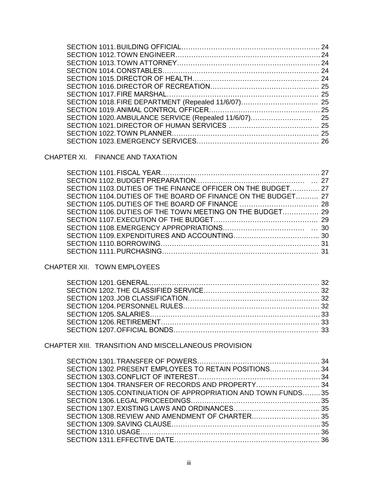CHAPTER XI. FINANCE AND TAXATION

| SECTION 1103. DUTIES OF THE FINANCE OFFICER ON THE BUDGET 27  |  |
|---------------------------------------------------------------|--|
| SECTION 1104. DUTIES OF THE BOARD OF FINANCE ON THE BUDGET 27 |  |
|                                                               |  |
| SECTION 1106. DUTIES OF THE TOWN MEETING ON THE BUDGET 29     |  |
|                                                               |  |
|                                                               |  |
|                                                               |  |
|                                                               |  |
|                                                               |  |

## CHAPTER XII. TOWN EMPLOYEES

## CHAPTER XIII. TRANSITION AND MISCELLANEOUS PROVISION

| SECTION 1304. TRANSFER OF RECORDS AND PROPERTY 34             |  |
|---------------------------------------------------------------|--|
| SECTION 1305. CONTINUATION OF APPROPRIATION AND TOWN FUNDS 35 |  |
|                                                               |  |
|                                                               |  |
|                                                               |  |
|                                                               |  |
|                                                               |  |
|                                                               |  |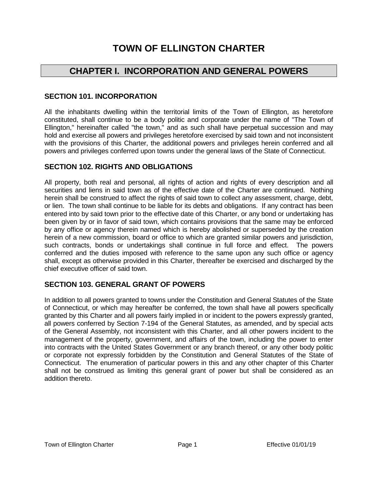# **TOWN OF ELLINGTON CHARTER**

## **CHAPTER I. INCORPORATION AND GENERAL POWERS**

## **SECTION 101. INCORPORATION**

All the inhabitants dwelling within the territorial limits of the Town of Ellington, as heretofore constituted, shall continue to be a body politic and corporate under the name of "The Town of Ellington," hereinafter called "the town," and as such shall have perpetual succession and may hold and exercise all powers and privileges heretofore exercised by said town and not inconsistent with the provisions of this Charter, the additional powers and privileges herein conferred and all powers and privileges conferred upon towns under the general laws of the State of Connecticut.

## **SECTION 102. RIGHTS AND OBLIGATIONS**

All property, both real and personal, all rights of action and rights of every description and all securities and liens in said town as of the effective date of the Charter are continued. Nothing herein shall be construed to affect the rights of said town to collect any assessment, charge, debt, or lien. The town shall continue to be liable for its debts and obligations. If any contract has been entered into by said town prior to the effective date of this Charter, or any bond or undertaking has been given by or in favor of said town, which contains provisions that the same may be enforced by any office or agency therein named which is hereby abolished or superseded by the creation herein of a new commission, board or office to which are granted similar powers and jurisdiction, such contracts, bonds or undertakings shall continue in full force and effect. The powers conferred and the duties imposed with reference to the same upon any such office or agency shall, except as otherwise provided in this Charter, thereafter be exercised and discharged by the chief executive officer of said town.

## **SECTION 103. GENERAL GRANT OF POWERS**

In addition to all powers granted to towns under the Constitution and General Statutes of the State of Connecticut, or which may hereafter be conferred, the town shall have all powers specifically granted by this Charter and all powers fairly implied in or incident to the powers expressly granted, all powers conferred by Section 7-194 of the General Statutes, as amended, and by special acts of the General Assembly, not inconsistent with this Charter, and all other powers incident to the management of the property, government, and affairs of the town, including the power to enter into contracts with the United States Government or any branch thereof, or any other body politic or corporate not expressly forbidden by the Constitution and General Statutes of the State of Connecticut. The enumeration of particular powers in this and any other chapter of this Charter shall not be construed as limiting this general grant of power but shall be considered as an addition thereto.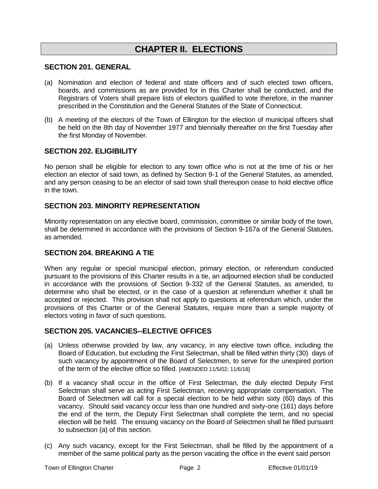# **CHAPTER II. ELECTIONS**

#### **SECTION 201. GENERAL**

- (a) Nomination and election of federal and state officers and of such elected town officers, boards, and commissions as are provided for in this Charter shall be conducted, and the Registrars of Voters shall prepare lists of electors qualified to vote therefore, in the manner prescribed in the Constitution and the General Statutes of the State of Connecticut.
- (b) A meeting of the electors of the Town of Ellington for the election of municipal officers shall be held on the 8th day of November 1977 and biennially thereafter on the first Tuesday after the first Monday of November.

#### **SECTION 202. ELIGIBILITY**

No person shall be eligible for election to any town office who is not at the time of his or her election an elector of said town, as defined by Section 9-1 of the General Statutes, as amended, and any person ceasing to be an elector of said town shall thereupon cease to hold elective office in the town.

#### **SECTION 203. MINORITY REPRESENTATION**

Minority representation on any elective board, commission, committee or similar body of the town, shall be determined in accordance with the provisions of Section 9-167a of the General Statutes, as amended.

## **SECTION 204. BREAKING A TIE**

When any regular or special municipal election, primary election, or referendum conducted pursuant to the provisions of this Charter results in a tie, an adjourned election shall be conducted in accordance with the provisions of Section 9-332 of the General Statutes, as amended, to determine who shall be elected, or in the case of a question at referendum whether it shall be accepted or rejected. This provision shall not apply to questions at referendum which, under the provisions of this Charter or of the General Statutes, require more than a simple majority of electors voting in favor of such questions.

#### **SECTION 205. VACANCIES--ELECTIVE OFFICES**

- (a) Unless otherwise provided by law, any vacancy, in any elective town office, including the Board of Education, but excluding the First Selectman, shall be filled within thirty (30) days of such vacancy by appointment of the Board of Selectmen, to serve for the unexpired portion of the term of the elective office so filled. [AMENDED 11/5/02; 11/6/18]
- (b) If a vacancy shall occur in the office of First Selectman, the duly elected Deputy First Selectman shall serve as acting First Selectman, receiving appropriate compensation. The Board of Selectmen will call for a special election to be held within sixty (60) days of this vacancy. Should said vacancy occur less than one hundred and sixty-one (161) days before the end of the term, the Deputy First Selectman shall complete the term, and no special election will be held. The ensuing vacancy on the Board of Selectmen shall be filled pursuant to subsection (a) of this section.
- (c) Any such vacancy, except for the First Selectman, shall be filled by the appointment of a member of the same political party as the person vacating the office in the event said person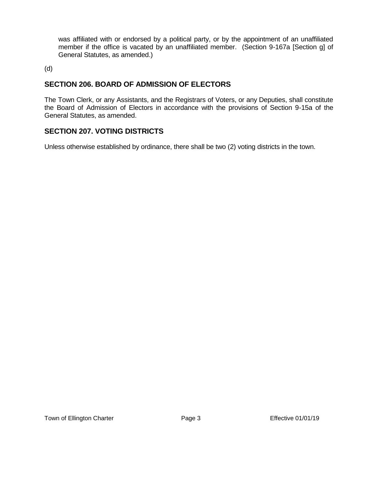was affiliated with or endorsed by a political party, or by the appointment of an unaffiliated member if the office is vacated by an unaffiliated member. (Section 9-167a [Section g] of General Statutes, as amended.)

(d)

## **SECTION 206. BOARD OF ADMISSION OF ELECTORS**

The Town Clerk, or any Assistants, and the Registrars of Voters, or any Deputies, shall constitute the Board of Admission of Electors in accordance with the provisions of Section 9-15a of the General Statutes, as amended.

## **SECTION 207. VOTING DISTRICTS**

Unless otherwise established by ordinance, there shall be two (2) voting districts in the town.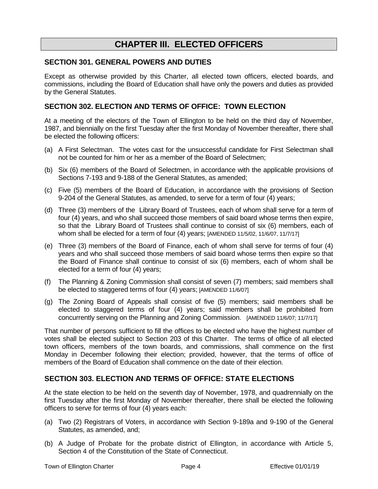## **CHAPTER III. ELECTED OFFICERS**

#### **SECTION 301. GENERAL POWERS AND DUTIES**

Except as otherwise provided by this Charter, all elected town officers, elected boards, and commissions, including the Board of Education shall have only the powers and duties as provided by the General Statutes.

#### **SECTION 302. ELECTION AND TERMS OF OFFICE: TOWN ELECTION**

At a meeting of the electors of the Town of Ellington to be held on the third day of November, 1987, and biennially on the first Tuesday after the first Monday of November thereafter, there shall be elected the following officers:

- (a) A First Selectman. The votes cast for the unsuccessful candidate for First Selectman shall not be counted for him or her as a member of the Board of Selectmen;
- (b) Six (6) members of the Board of Selectmen, in accordance with the applicable provisions of Sections 7-193 and 9-188 of the General Statutes, as amended;
- (c) Five (5) members of the Board of Education, in accordance with the provisions of Section 9-204 of the General Statutes, as amended, to serve for a term of four (4) years;
- (d) Three (3) members of the Library Board of Trustees, each of whom shall serve for a term of four (4) years, and who shall succeed those members of said board whose terms then expire, so that the Library Board of Trustees shall continue to consist of six (6) members, each of whom shall be elected for a term of four (4) years; [AMENDED 11/5/02, 11/6/07, 11/7/17]
- (e) Three (3) members of the Board of Finance, each of whom shall serve for terms of four (4) years and who shall succeed those members of said board whose terms then expire so that the Board of Finance shall continue to consist of six (6) members, each of whom shall be elected for a term of four (4) years;
- (f) The Planning & Zoning Commission shall consist of seven (7) members; said members shall be elected to staggered terms of four (4) years; [AMENDED 11/6/07]
- (g) The Zoning Board of Appeals shall consist of five (5) members; said members shall be elected to staggered terms of four (4) years; said members shall be prohibited from concurrently serving on the Planning and Zoning Commission. [AMENDED 11/6/07; 11/7/17]

That number of persons sufficient to fill the offices to be elected who have the highest number of votes shall be elected subject to Section 203 of this Charter. The terms of office of all elected town officers, members of the town boards, and commissions, shall commence on the first Monday in December following their election; provided, however, that the terms of office of members of the Board of Education shall commence on the date of their election.

## **SECTION 303. ELECTION AND TERMS OF OFFICE: STATE ELECTIONS**

At the state election to be held on the seventh day of November, 1978, and quadrennially on the first Tuesday after the first Monday of November thereafter, there shall be elected the following officers to serve for terms of four (4) years each:

- (a) Two (2) Registrars of Voters, in accordance with Section 9-189a and 9-190 of the General Statutes, as amended, and;
- (b) A Judge of Probate for the probate district of Ellington, in accordance with Article 5, Section 4 of the Constitution of the State of Connecticut.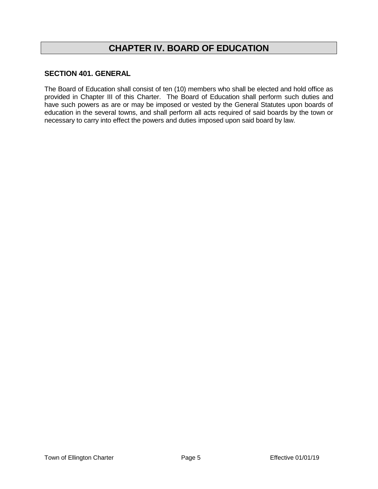# **CHAPTER IV. BOARD OF EDUCATION**

## **SECTION 401. GENERAL**

The Board of Education shall consist of ten (10) members who shall be elected and hold office as provided in Chapter III of this Charter. The Board of Education shall perform such duties and have such powers as are or may be imposed or vested by the General Statutes upon boards of education in the several towns, and shall perform all acts required of said boards by the town or necessary to carry into effect the powers and duties imposed upon said board by law.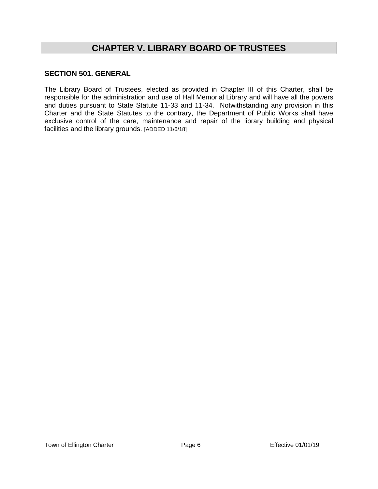# **CHAPTER V. LIBRARY BOARD OF TRUSTEES**

## **SECTION 501. GENERAL**

The Library Board of Trustees, elected as provided in Chapter III of this Charter, shall be responsible for the administration and use of Hall Memorial Library and will have all the powers and duties pursuant to State Statute 11-33 and 11-34. Notwithstanding any provision in this Charter and the State Statutes to the contrary, the Department of Public Works shall have exclusive control of the care, maintenance and repair of the library building and physical facilities and the library grounds. [ADDED 11/6/18]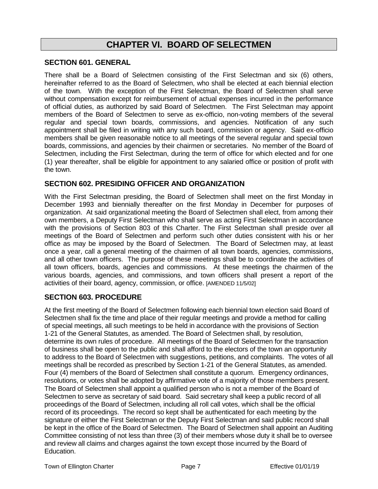## **CHAPTER VI. BOARD OF SELECTMEN**

#### **SECTION 601. GENERAL**

There shall be a Board of Selectmen consisting of the First Selectman and six (6) others, hereinafter referred to as the Board of Selectmen, who shall be elected at each biennial election of the town. With the exception of the First Selectman, the Board of Selectmen shall serve without compensation except for reimbursement of actual expenses incurred in the performance of official duties, as authorized by said Board of Selectmen. The First Selectman may appoint members of the Board of Selectmen to serve as ex-officio, non-voting members of the several regular and special town boards, commissions, and agencies. Notification of any such appointment shall be filed in writing with any such board, commission or agency. Said ex-officio members shall be given reasonable notice to all meetings of the several regular and special town boards, commissions, and agencies by their chairmen or secretaries. No member of the Board of Selectmen, including the First Selectman, during the term of office for which elected and for one (1) year thereafter, shall be eligible for appointment to any salaried office or position of profit with the town.

#### **SECTION 602. PRESIDING OFFICER AND ORGANIZATION**

With the First Selectman presiding, the Board of Selectmen shall meet on the first Monday in December 1993 and biennially thereafter on the first Monday in December for purposes of organization. At said organizational meeting the Board of Selectmen shall elect, from among their own members, a Deputy First Selectman who shall serve as acting First Selectman in accordance with the provisions of Section 803 of this Charter. The First Selectman shall preside over all meetings of the Board of Selectmen and perform such other duties consistent with his or her office as may be imposed by the Board of Selectmen. The Board of Selectmen may, at least once a year, call a general meeting of the chairmen of all town boards, agencies, commissions, and all other town officers. The purpose of these meetings shall be to coordinate the activities of all town officers, boards, agencies and commissions. At these meetings the chairmen of the various boards, agencies, and commissions, and town officers shall present a report of the activities of their board, agency, commission, or office. [AMENDED 11/5/02]

#### **SECTION 603. PROCEDURE**

At the first meeting of the Board of Selectmen following each biennial town election said Board of Selectmen shall fix the time and place of their regular meetings and provide a method for calling of special meetings, all such meetings to be held in accordance with the provisions of Section 1-21 of the General Statutes, as amended. The Board of Selectmen shall, by resolution, determine its own rules of procedure. All meetings of the Board of Selectmen for the transaction of business shall be open to the public and shall afford to the electors of the town an opportunity to address to the Board of Selectmen with suggestions, petitions, and complaints. The votes of all meetings shall be recorded as prescribed by Section 1-21 of the General Statutes, as amended. Four (4) members of the Board of Selectmen shall constitute a quorum. Emergency ordinances, resolutions, or votes shall be adopted by affirmative vote of a majority of those members present. The Board of Selectmen shall appoint a qualified person who is not a member of the Board of Selectmen to serve as secretary of said board. Said secretary shall keep a public record of all proceedings of the Board of Selectmen, including all roll call votes, which shall be the official record of its proceedings. The record so kept shall be authenticated for each meeting by the signature of either the First Selectman or the Deputy First Selectman and said public record shall be kept in the office of the Board of Selectmen. The Board of Selectmen shall appoint an Auditing Committee consisting of not less than three (3) of their members whose duty it shall be to oversee and review all claims and charges against the town except those incurred by the Board of Education.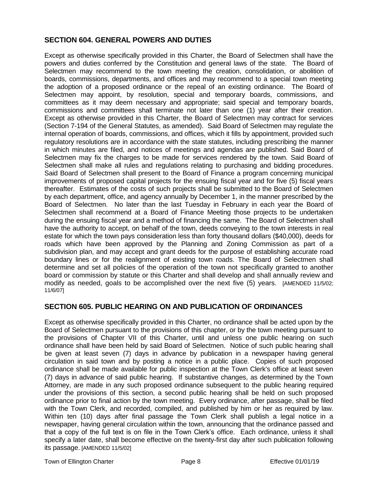## **SECTION 604. GENERAL POWERS AND DUTIES**

Except as otherwise specifically provided in this Charter, the Board of Selectmen shall have the powers and duties conferred by the Constitution and general laws of the state. The Board of Selectmen may recommend to the town meeting the creation, consolidation, or abolition of boards, commissions, departments, and offices and may recommend to a special town meeting the adoption of a proposed ordinance or the repeal of an existing ordinance. The Board of Selectmen may appoint, by resolution, special and temporary boards, commissions, and committees as it may deem necessary and appropriate; said special and temporary boards, commissions and committees shall terminate not later than one (1) year after their creation. Except as otherwise provided in this Charter, the Board of Selectmen may contract for services (Section 7-194 of the General Statutes, as amended). Said Board of Selectmen may regulate the internal operation of boards, commissions, and offices, which it fills by appointment, provided such regulatory resolutions are in accordance with the state statutes, including prescribing the manner in which minutes are filed, and notices of meetings and agendas are published. Said Board of Selectmen may fix the charges to be made for services rendered by the town. Said Board of Selectmen shall make all rules and regulations relating to purchasing and bidding procedures. Said Board of Selectmen shall present to the Board of Finance a program concerning municipal improvements of proposed capital projects for the ensuing fiscal year and for five (5) fiscal years thereafter. Estimates of the costs of such projects shall be submitted to the Board of Selectmen by each department, office, and agency annually by December 1, in the manner prescribed by the Board of Selectmen. No later than the last Tuesday in February in each year the Board of Selectmen shall recommend at a Board of Finance Meeting those projects to be undertaken during the ensuing fiscal year and a method of financing the same. The Board of Selectmen shall have the authority to accept, on behalf of the town, deeds conveying to the town interests in real estate for which the town pays consideration less than forty thousand dollars (\$40,000), deeds for roads which have been approved by the Planning and Zoning Commission as part of a subdivision plan, and may accept and grant deeds for the purpose of establishing accurate road boundary lines or for the realignment of existing town roads. The Board of Selectmen shall determine and set all policies of the operation of the town not specifically granted to another board or commission by statute or this Charter and shall develop and shall annually review and modify as needed, goals to be accomplished over the next five (5) years. [AMENDED 11/5/02; 11/6/07]

## **SECTION 605. PUBLIC HEARING ON AND PUBLICATION OF ORDINANCES**

Except as otherwise specifically provided in this Charter, no ordinance shall be acted upon by the Board of Selectmen pursuant to the provisions of this chapter, or by the town meeting pursuant to the provisions of Chapter VII of this Charter, until and unless one public hearing on such ordinance shall have been held by said Board of Selectmen. Notice of such public hearing shall be given at least seven (7) days in advance by publication in a newspaper having general circulation in said town and by posting a notice in a public place. Copies of such proposed ordinance shall be made available for public inspection at the Town Clerk's office at least seven (7) days in advance of said public hearing. If substantive changes, as determined by the Town Attorney, are made in any such proposed ordinance subsequent to the public hearing required under the provisions of this section, a second public hearing shall be held on such proposed ordinance prior to final action by the town meeting. Every ordinance, after passage, shall be filed with the Town Clerk, and recorded, compiled, and published by him or her as required by law. Within ten (10) days after final passage the Town Clerk shall publish a legal notice in a newspaper, having general circulation within the town, announcing that the ordinance passed and that a copy of the full text is on file in the Town Clerk's office. Each ordinance, unless it shall specify a later date, shall become effective on the twenty-first day after such publication following its passage. [AMENDED 11/5/02]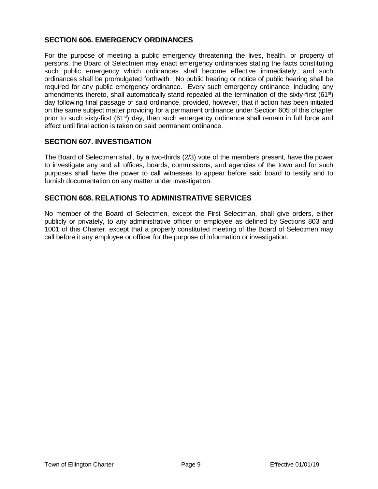## **SECTION 606. EMERGENCY ORDINANCES**

For the purpose of meeting a public emergency threatening the lives, health, or property of persons, the Board of Selectmen may enact emergency ordinances stating the facts constituting such public emergency which ordinances shall become effective immediately; and such ordinances shall be promulgated forthwith. No public hearing or notice of public hearing shall be required for any public emergency ordinance. Every such emergency ordinance, including any amendments thereto, shall automatically stand repealed at the termination of the sixty-first (61<sup>st</sup>) day following final passage of said ordinance, provided, however, that if action has been initiated on the same subject matter providing for a permanent ordinance under Section 605 of this chapter prior to such sixty-first (61<sup>st</sup>) day, then such emergency ordinance shall remain in full force and effect until final action is taken on said permanent ordinance.

#### **SECTION 607. INVESTIGATION**

The Board of Selectmen shall, by a two-thirds (2/3) vote of the members present, have the power to investigate any and all offices, boards, commissions, and agencies of the town and for such purposes shall have the power to call witnesses to appear before said board to testify and to furnish documentation on any matter under investigation.

#### **SECTION 608. RELATIONS TO ADMINISTRATIVE SERVICES**

No member of the Board of Selectmen, except the First Selectman, shall give orders, either publicly or privately, to any administrative officer or employee as defined by Sections 803 and 1001 of this Charter, except that a properly constituted meeting of the Board of Selectmen may call before it any employee or officer for the purpose of information or investigation.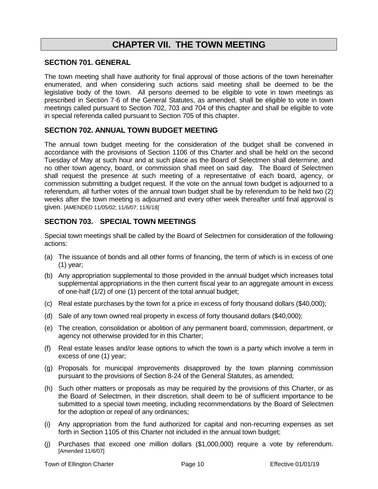## **CHAPTER VII. THE TOWN MEETING**

#### **SECTION 701. GENERAL**

The town meeting shall have authority for final approval of those actions of the town hereinafter enumerated, and when considering such actions said meeting shall be deemed to be the legislative body of the town. All persons deemed to be eligible to vote in town meetings as prescribed in Section 7-6 of the General Statutes, as amended, shall be eligible to vote in town meetings called pursuant to Section 702, 703 and 704 of this chapter and shall be eligible to vote in special referenda called pursuant to Section 705 of this chapter.

#### **SECTION 702. ANNUAL TOWN BUDGET MEETING**

The annual town budget meeting for the consideration of the budget shall be convened in accordance with the provisions of Section 1106 of this Charter and shall be held on the second Tuesday of May at such hour and at such place as the Board of Selectmen shall determine, and no other town agency, board, or commission shall meet on said day. The Board of Selectmen shall request the presence at such meeting of a representative of each board, agency, or commission submitting a budget request. If the vote on the annual town budget is adjourned to a referendum, all further votes of the annual town budget shall be by referendum to be held two (2) weeks after the town meeting is adjourned and every other week thereafter until final approval is given. [AMENDED 11/05/02; 11/6/07; 11/6/18]

## **SECTION 703. SPECIAL TOWN MEETINGS**

Special town meetings shall be called by the Board of Selectmen for consideration of the following actions:

- (a) The issuance of bonds and all other forms of financing, the term of which is in excess of one (1) year;
- (b) Any appropriation supplemental to those provided in the annual budget which increases total supplemental appropriations in the then current fiscal year to an aggregate amount in excess of one-half (1/2) of one (1) percent of the total annual budget;
- (c) Real estate purchases by the town for a price in excess of forty thousand dollars (\$40,000);
- (d) Sale of any town owned real property in excess of forty thousand dollars (\$40,000);
- (e) The creation, consolidation or abolition of any permanent board, commission, department, or agency not otherwise provided for in this Charter;
- (f) Real estate leases and/or lease options to which the town is a party which involve a term in excess of one (1) year;
- (g) Proposals for municipal improvements disapproved by the town planning commission pursuant to the provisions of Section 8-24 of the General Statutes, as amended;
- (h) Such other matters or proposals as may be required by the provisions of this Charter, or as the Board of Selectmen, in their discretion, shall deem to be of sufficient importance to be submitted to a special town meeting, including recommendations by the Board of Selectmen for the adoption or repeal of any ordinances;
- (i) Any appropriation from the fund authorized for capital and non-recurring expenses as set forth in Section 1105 of this Charter not included in the annual town budget;
- (j) Purchases that exceed one million dollars (\$1,000,000) require a vote by referendum. [Amended 11/6/07]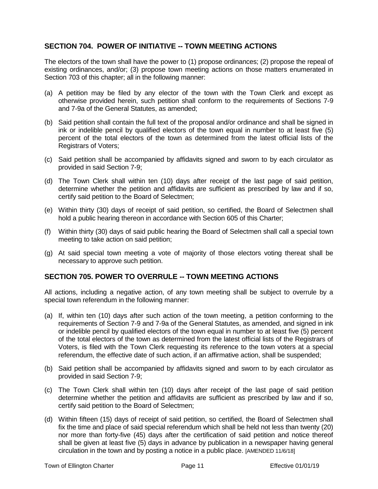## **SECTION 704. POWER OF INITIATIVE -- TOWN MEETING ACTIONS**

The electors of the town shall have the power to (1) propose ordinances; (2) propose the repeal of existing ordinances, and/or; (3) propose town meeting actions on those matters enumerated in Section 703 of this chapter; all in the following manner:

- (a) A petition may be filed by any elector of the town with the Town Clerk and except as otherwise provided herein, such petition shall conform to the requirements of Sections 7-9 and 7-9a of the General Statutes, as amended;
- (b) Said petition shall contain the full text of the proposal and/or ordinance and shall be signed in ink or indelible pencil by qualified electors of the town equal in number to at least five (5) percent of the total electors of the town as determined from the latest official lists of the Registrars of Voters;
- (c) Said petition shall be accompanied by affidavits signed and sworn to by each circulator as provided in said Section 7-9;
- (d) The Town Clerk shall within ten (10) days after receipt of the last page of said petition, determine whether the petition and affidavits are sufficient as prescribed by law and if so, certify said petition to the Board of Selectmen;
- (e) Within thirty (30) days of receipt of said petition, so certified, the Board of Selectmen shall hold a public hearing thereon in accordance with Section 605 of this Charter;
- (f) Within thirty (30) days of said public hearing the Board of Selectmen shall call a special town meeting to take action on said petition;
- (g) At said special town meeting a vote of majority of those electors voting thereat shall be necessary to approve such petition.

## **SECTION 705. POWER TO OVERRULE -- TOWN MEETING ACTIONS**

All actions, including a negative action, of any town meeting shall be subject to overrule by a special town referendum in the following manner:

- (a) If, within ten (10) days after such action of the town meeting, a petition conforming to the requirements of Section 7-9 and 7-9a of the General Statutes, as amended, and signed in ink or indelible pencil by qualified electors of the town equal in number to at least five (5) percent of the total electors of the town as determined from the latest official lists of the Registrars of Voters, is filed with the Town Clerk requesting its reference to the town voters at a special referendum, the effective date of such action, if an affirmative action, shall be suspended;
- (b) Said petition shall be accompanied by affidavits signed and sworn to by each circulator as provided in said Section 7-9;
- (c) The Town Clerk shall within ten (10) days after receipt of the last page of said petition determine whether the petition and affidavits are sufficient as prescribed by law and if so, certify said petition to the Board of Selectmen;
- (d) Within fifteen (15) days of receipt of said petition, so certified, the Board of Selectmen shall fix the time and place of said special referendum which shall be held not less than twenty (20) nor more than forty-five (45) days after the certification of said petition and notice thereof shall be given at least five (5) days in advance by publication in a newspaper having general circulation in the town and by posting a notice in a public place. [AMENDED 11/6/18]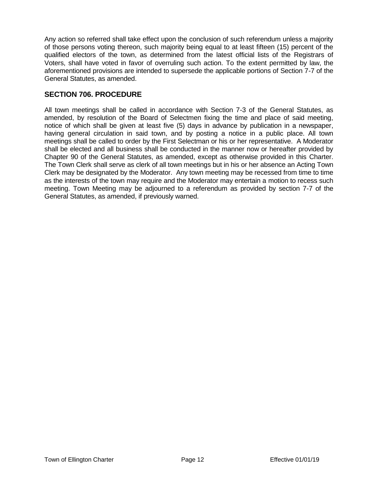Any action so referred shall take effect upon the conclusion of such referendum unless a majority of those persons voting thereon, such majority being equal to at least fifteen (15) percent of the qualified electors of the town, as determined from the latest official lists of the Registrars of Voters, shall have voted in favor of overruling such action. To the extent permitted by law, the aforementioned provisions are intended to supersede the applicable portions of Section 7-7 of the General Statutes, as amended.

## **SECTION 706. PROCEDURE**

All town meetings shall be called in accordance with Section 7-3 of the General Statutes, as amended, by resolution of the Board of Selectmen fixing the time and place of said meeting, notice of which shall be given at least five (5) days in advance by publication in a newspaper, having general circulation in said town, and by posting a notice in a public place. All town meetings shall be called to order by the First Selectman or his or her representative. A Moderator shall be elected and all business shall be conducted in the manner now or hereafter provided by Chapter 90 of the General Statutes, as amended, except as otherwise provided in this Charter. The Town Clerk shall serve as clerk of all town meetings but in his or her absence an Acting Town Clerk may be designated by the Moderator. Any town meeting may be recessed from time to time as the interests of the town may require and the Moderator may entertain a motion to recess such meeting. Town Meeting may be adjourned to a referendum as provided by section 7-7 of the General Statutes, as amended, if previously warned.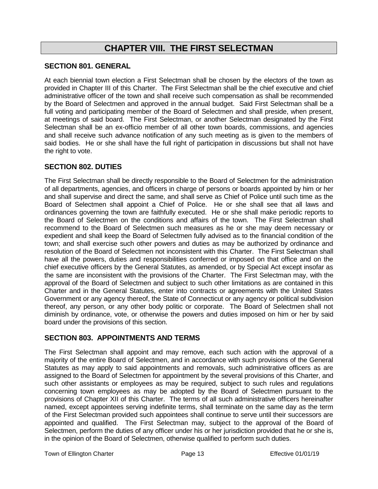## **CHAPTER VIII. THE FIRST SELECTMAN**

#### **SECTION 801. GENERAL**

At each biennial town election a First Selectman shall be chosen by the electors of the town as provided in Chapter III of this Charter. The First Selectman shall be the chief executive and chief administrative officer of the town and shall receive such compensation as shall be recommended by the Board of Selectmen and approved in the annual budget. Said First Selectman shall be a full voting and participating member of the Board of Selectmen and shall preside, when present, at meetings of said board. The First Selectman, or another Selectman designated by the First Selectman shall be an ex-officio member of all other town boards, commissions, and agencies and shall receive such advance notification of any such meeting as is given to the members of said bodies. He or she shall have the full right of participation in discussions but shall not have the right to vote.

## **SECTION 802. DUTIES**

The First Selectman shall be directly responsible to the Board of Selectmen for the administration of all departments, agencies, and officers in charge of persons or boards appointed by him or her and shall supervise and direct the same, and shall serve as Chief of Police until such time as the Board of Selectmen shall appoint a Chief of Police. He or she shall see that all laws and ordinances governing the town are faithfully executed. He or she shall make periodic reports to the Board of Selectmen on the conditions and affairs of the town. The First Selectman shall recommend to the Board of Selectmen such measures as he or she may deem necessary or expedient and shall keep the Board of Selectmen fully advised as to the financial condition of the town; and shall exercise such other powers and duties as may be authorized by ordinance and resolution of the Board of Selectmen not inconsistent with this Charter. The First Selectman shall have all the powers, duties and responsibilities conferred or imposed on that office and on the chief executive officers by the General Statutes, as amended, or by Special Act except insofar as the same are inconsistent with the provisions of the Charter. The First Selectman may, with the approval of the Board of Selectmen and subject to such other limitations as are contained in this Charter and in the General Statutes, enter into contracts or agreements with the United States Government or any agency thereof, the State of Connecticut or any agency or political subdivision thereof, any person, or any other body politic or corporate. The Board of Selectmen shall not diminish by ordinance, vote, or otherwise the powers and duties imposed on him or her by said board under the provisions of this section.

## **SECTION 803. APPOINTMENTS AND TERMS**

The First Selectman shall appoint and may remove, each such action with the approval of a majority of the entire Board of Selectmen, and in accordance with such provisions of the General Statutes as may apply to said appointments and removals, such administrative officers as are assigned to the Board of Selectmen for appointment by the several provisions of this Charter, and such other assistants or employees as may be required, subject to such rules and regulations concerning town employees as may be adopted by the Board of Selectmen pursuant to the provisions of Chapter XII of this Charter. The terms of all such administrative officers hereinafter named, except appointees serving indefinite terms, shall terminate on the same day as the term of the First Selectman provided such appointees shall continue to serve until their successors are appointed and qualified. The First Selectman may, subject to the approval of the Board of Selectmen, perform the duties of any officer under his or her jurisdiction provided that he or she is, in the opinion of the Board of Selectmen, otherwise qualified to perform such duties.

Town of Ellington Charter The Charter Page 13 Effective 01/01/19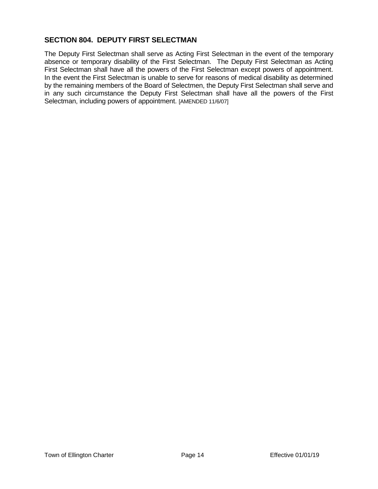## **SECTION 804. DEPUTY FIRST SELECTMAN**

The Deputy First Selectman shall serve as Acting First Selectman in the event of the temporary absence or temporary disability of the First Selectman. The Deputy First Selectman as Acting First Selectman shall have all the powers of the First Selectman except powers of appointment. In the event the First Selectman is unable to serve for reasons of medical disability as determined by the remaining members of the Board of Selectmen, the Deputy First Selectman shall serve and in any such circumstance the Deputy First Selectman shall have all the powers of the First Selectman, including powers of appointment. [AMENDED 11/6/07]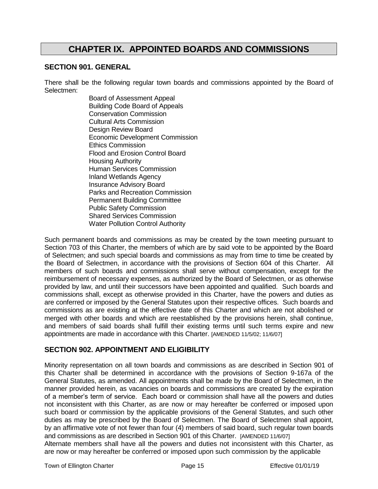## **CHAPTER IX. APPOINTED BOARDS AND COMMISSIONS**

#### **SECTION 901. GENERAL**

There shall be the following regular town boards and commissions appointed by the Board of Selectmen:

> Board of Assessment Appeal Building Code Board of Appeals Conservation Commission Cultural Arts Commission Design Review Board Economic Development Commission Ethics Commission Flood and Erosion Control Board Housing Authority Human Services Commission Inland Wetlands Agency Insurance Advisory Board Parks and Recreation Commission Permanent Building Committee Public Safety Commission Shared Services Commission Water Pollution Control Authority

Such permanent boards and commissions as may be created by the town meeting pursuant to Section 703 of this Charter, the members of which are by said vote to be appointed by the Board of Selectmen; and such special boards and commissions as may from time to time be created by the Board of Selectmen, in accordance with the provisions of Section 604 of this Charter. All members of such boards and commissions shall serve without compensation, except for the reimbursement of necessary expenses, as authorized by the Board of Selectmen, or as otherwise provided by law, and until their successors have been appointed and qualified. Such boards and commissions shall, except as otherwise provided in this Charter, have the powers and duties as are conferred or imposed by the General Statutes upon their respective offices. Such boards and commissions as are existing at the effective date of this Charter and which are not abolished or merged with other boards and which are reestablished by the provisions herein, shall continue, and members of said boards shall fulfill their existing terms until such terms expire and new appointments are made in accordance with this Charter. [AMENDED 11/5/02; 11/6/07]

## **SECTION 902. APPOINTMENT AND ELIGIBILITY**

Minority representation on all town boards and commissions as are described in Section 901 of this Charter shall be determined in accordance with the provisions of Section 9-167a of the General Statutes, as amended. All appointments shall be made by the Board of Selectmen, in the manner provided herein, as vacancies on boards and commissions are created by the expiration of a member's term of service. Each board or commission shall have all the powers and duties not inconsistent with this Charter, as are now or may hereafter be conferred or imposed upon such board or commission by the applicable provisions of the General Statutes, and such other duties as may be prescribed by the Board of Selectmen. The Board of Selectmen shall appoint, by an affirmative vote of not fewer than four (4) members of said board, such regular town boards and commissions as are described in Section 901 of this Charter. [AMENDED 11/6/07]

Alternate members shall have all the powers and duties not inconsistent with this Charter, as are now or may hereafter be conferred or imposed upon such commission by the applicable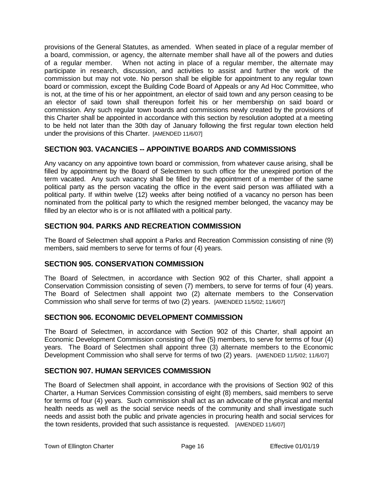provisions of the General Statutes, as amended. When seated in place of a regular member of a board, commission, or agency, the alternate member shall have all of the powers and duties of a regular member. When not acting in place of a regular member, the alternate may participate in research, discussion, and activities to assist and further the work of the commission but may not vote. No person shall be eligible for appointment to any regular town board or commission, except the Building Code Board of Appeals or any Ad Hoc Committee, who is not, at the time of his or her appointment, an elector of said town and any person ceasing to be an elector of said town shall thereupon forfeit his or her membership on said board or commission. Any such regular town boards and commissions newly created by the provisions of this Charter shall be appointed in accordance with this section by resolution adopted at a meeting to be held not later than the 30th day of January following the first regular town election held under the provisions of this Charter. [AMENDED 11/6/07]

## **SECTION 903. VACANCIES -- APPOINTIVE BOARDS AND COMMISSIONS**

Any vacancy on any appointive town board or commission, from whatever cause arising, shall be filled by appointment by the Board of Selectmen to such office for the unexpired portion of the term vacated. Any such vacancy shall be filled by the appointment of a member of the same political party as the person vacating the office in the event said person was affiliated with a political party. If within twelve (12) weeks after being notified of a vacancy no person has been nominated from the political party to which the resigned member belonged, the vacancy may be filled by an elector who is or is not affiliated with a political party.

## **SECTION 904. PARKS AND RECREATION COMMISSION**

The Board of Selectmen shall appoint a Parks and Recreation Commission consisting of nine (9) members, said members to serve for terms of four (4) years.

## **SECTION 905. CONSERVATION COMMISSION**

The Board of Selectmen, in accordance with Section 902 of this Charter, shall appoint a Conservation Commission consisting of seven (7) members, to serve for terms of four (4) years. The Board of Selectmen shall appoint two (2) alternate members to the Conservation Commission who shall serve for terms of two (2) years. [AMENDED 11/5/02; 11/6/07]

## **SECTION 906. ECONOMIC DEVELOPMENT COMMISSION**

The Board of Selectmen, in accordance with Section 902 of this Charter, shall appoint an Economic Development Commission consisting of five (5) members, to serve for terms of four (4) years. The Board of Selectmen shall appoint three (3) alternate members to the Economic Development Commission who shall serve for terms of two (2) years. [AMENDED 11/5/02; 11/6/07]

## **SECTION 907. HUMAN SERVICES COMMISSION**

The Board of Selectmen shall appoint, in accordance with the provisions of Section 902 of this Charter, a Human Services Commission consisting of eight (8) members, said members to serve for terms of four (4) years. Such commission shall act as an advocate of the physical and mental health needs as well as the social service needs of the community and shall investigate such needs and assist both the public and private agencies in procuring health and social services for the town residents, provided that such assistance is requested. [AMENDED 11/6/07]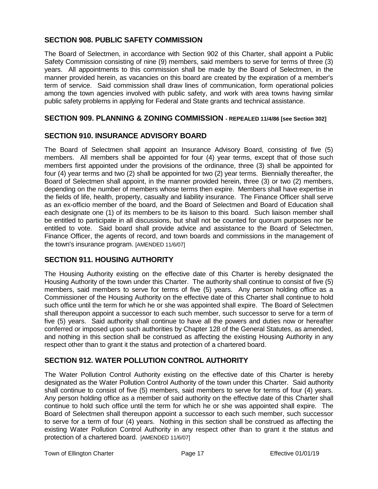## **SECTION 908. PUBLIC SAFETY COMMISSION**

The Board of Selectmen, in accordance with Section 902 of this Charter, shall appoint a Public Safety Commission consisting of nine (9) members, said members to serve for terms of three (3) years. All appointments to this commission shall be made by the Board of Selectmen, in the manner provided herein, as vacancies on this board are created by the expiration of a member's term of service. Said commission shall draw lines of communication, form operational policies among the town agencies involved with public safety, and work with area towns having similar public safety problems in applying for Federal and State grants and technical assistance.

#### **SECTION 909. PLANNING & ZONING COMMISSION - REPEALED 11/4/86 [see Section 302]**

## **SECTION 910. INSURANCE ADVISORY BOARD**

The Board of Selectmen shall appoint an Insurance Advisory Board, consisting of five (5) members. All members shall be appointed for four (4) year terms, except that of those such members first appointed under the provisions of the ordinance, three (3) shall be appointed for four (4) year terms and two (2) shall be appointed for two (2) year terms. Biennially thereafter, the Board of Selectmen shall appoint, in the manner provided herein, three (3) or two (2) members, depending on the number of members whose terms then expire. Members shall have expertise in the fields of life, health, property, casualty and liability insurance. The Finance Officer shall serve as an ex-officio member of the board, and the Board of Selectmen and Board of Education shall each designate one (1) of its members to be its liaison to this board. Such liaison member shall be entitled to participate in all discussions, but shall not be counted for quorum purposes nor be entitled to vote. Said board shall provide advice and assistance to the Board of Selectmen, Finance Officer, the agents of record, and town boards and commissions in the management of the town's insurance program. [AMENDED 11/6/07]

## **SECTION 911. HOUSING AUTHORITY**

The Housing Authority existing on the effective date of this Charter is hereby designated the Housing Authority of the town under this Charter. The authority shall continue to consist of five (5) members, said members to serve for terms of five (5) years. Any person holding office as a Commissioner of the Housing Authority on the effective date of this Charter shall continue to hold such office until the term for which he or she was appointed shall expire. The Board of Selectmen shall thereupon appoint a successor to each such member, such successor to serve for a term of five (5) years. Said authority shall continue to have all the powers and duties now or hereafter conferred or imposed upon such authorities by Chapter 128 of the General Statutes, as amended, and nothing in this section shall be construed as affecting the existing Housing Authority in any respect other than to grant it the status and protection of a chartered board.

## **SECTION 912. WATER POLLUTION CONTROL AUTHORITY**

The Water Pollution Control Authority existing on the effective date of this Charter is hereby designated as the Water Pollution Control Authority of the town under this Charter. Said authority shall continue to consist of five (5) members, said members to serve for terms of four (4) years. Any person holding office as a member of said authority on the effective date of this Charter shall continue to hold such office until the term for which he or she was appointed shall expire. The Board of Selectmen shall thereupon appoint a successor to each such member, such successor to serve for a term of four (4) years. Nothing in this section shall be construed as affecting the existing Water Pollution Control Authority in any respect other than to grant it the status and protection of a chartered board. [AMENDED 11/6/07]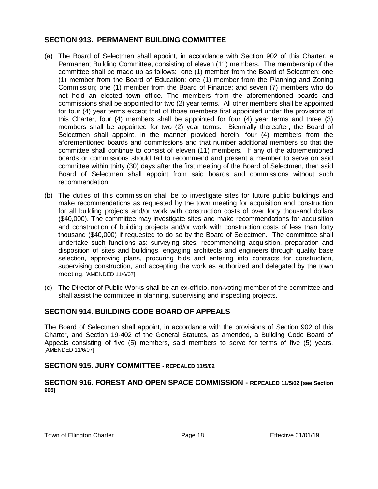## **SECTION 913. PERMANENT BUILDING COMMITTEE**

- (a) The Board of Selectmen shall appoint, in accordance with Section 902 of this Charter, a Permanent Building Committee, consisting of eleven (11) members. The membership of the committee shall be made up as follows: one (1) member from the Board of Selectmen; one (1) member from the Board of Education; one (1) member from the Planning and Zoning Commission; one (1) member from the Board of Finance; and seven (7) members who do not hold an elected town office. The members from the aforementioned boards and commissions shall be appointed for two (2) year terms. All other members shall be appointed for four (4) year terms except that of those members first appointed under the provisions of this Charter, four (4) members shall be appointed for four (4) year terms and three (3) members shall be appointed for two (2) year terms. Biennially thereafter, the Board of Selectmen shall appoint, in the manner provided herein, four (4) members from the aforementioned boards and commissions and that number additional members so that the committee shall continue to consist of eleven (11) members. If any of the aforementioned boards or commissions should fail to recommend and present a member to serve on said committee within thirty (30) days after the first meeting of the Board of Selectmen, then said Board of Selectmen shall appoint from said boards and commissions without such recommendation.
- (b) The duties of this commission shall be to investigate sites for future public buildings and make recommendations as requested by the town meeting for acquisition and construction for all building projects and/or work with construction costs of over forty thousand dollars (\$40,000). The committee may investigate sites and make recommendations for acquisition and construction of building projects and/or work with construction costs of less than forty thousand (\$40,000) if requested to do so by the Board of Selectmen. The committee shall undertake such functions as: surveying sites, recommending acquisition, preparation and disposition of sites and buildings, engaging architects and engineers through quality base selection, approving plans, procuring bids and entering into contracts for construction, supervising construction, and accepting the work as authorized and delegated by the town meeting. [AMENDED 11/6/07]
- (c) The Director of Public Works shall be an ex-officio, non-voting member of the committee and shall assist the committee in planning, supervising and inspecting projects.

## **SECTION 914. BUILDING CODE BOARD OF APPEALS**

The Board of Selectmen shall appoint, in accordance with the provisions of Section 902 of this Charter, and Section 19-402 of the General Statutes, as amended, a Building Code Board of Appeals consisting of five (5) members, said members to serve for terms of five (5) years. [AMENDED 11/6/07]

## **SECTION 915. JURY COMMITTEE - REPEALED 11/5/02**

#### **SECTION 916. FOREST AND OPEN SPACE COMMISSION - REPEALED 11/5/02 [see Section 905]**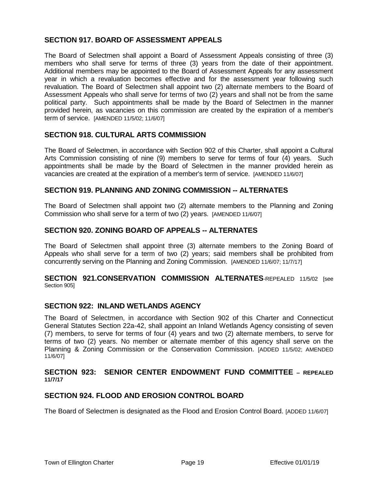## **SECTION 917. BOARD OF ASSESSMENT APPEALS**

The Board of Selectmen shall appoint a Board of Assessment Appeals consisting of three (3) members who shall serve for terms of three (3) years from the date of their appointment. Additional members may be appointed to the Board of Assessment Appeals for any assessment year in which a revaluation becomes effective and for the assessment year following such revaluation. The Board of Selectmen shall appoint two (2) alternate members to the Board of Assessment Appeals who shall serve for terms of two (2) years and shall not be from the same political party. Such appointments shall be made by the Board of Selectmen in the manner provided herein, as vacancies on this commission are created by the expiration of a member's term of service. [AMENDED 11/5/02; 11/6/07]

#### **SECTION 918. CULTURAL ARTS COMMISSION**

The Board of Selectmen, in accordance with Section 902 of this Charter, shall appoint a Cultural Arts Commission consisting of nine (9) members to serve for terms of four (4) years. Such appointments shall be made by the Board of Selectmen in the manner provided herein as vacancies are created at the expiration of a member's term of service. [AMENDED 11/6/07]

#### **SECTION 919. PLANNING AND ZONING COMMISSION -- ALTERNATES**

The Board of Selectmen shall appoint two (2) alternate members to the Planning and Zoning Commission who shall serve for a term of two (2) years. [AMENDED 11/6/07]

### **SECTION 920. ZONING BOARD OF APPEALS -- ALTERNATES**

The Board of Selectmen shall appoint three (3) alternate members to the Zoning Board of Appeals who shall serve for a term of two (2) years; said members shall be prohibited from concurrently serving on the Planning and Zoning Commission. [AMENDED 11/6/07; 11/7/17]

#### **SECTION 921.CONSERVATION COMMISSION ALTERNATES**-REPEALED 11/5/02 [see Section 905]

#### **SECTION 922: INLAND WETLANDS AGENCY**

The Board of Selectmen, in accordance with Section 902 of this Charter and Connecticut General Statutes Section 22a-42, shall appoint an Inland Wetlands Agency consisting of seven (7) members, to serve for terms of four (4) years and two (2) alternate members, to serve for terms of two (2) years. No member or alternate member of this agency shall serve on the Planning & Zoning Commission or the Conservation Commission. [ADDED 11/5/02; AMENDED 11/6/07]

#### **SECTION 923: SENIOR CENTER ENDOWMENT FUND COMMITTEE – REPEALED 11/7/17**

#### **SECTION 924. FLOOD AND EROSION CONTROL BOARD**

The Board of Selectmen is designated as the Flood and Erosion Control Board. [ADDED 11/6/07]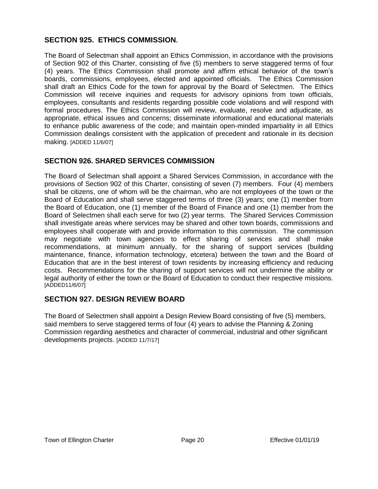## **SECTION 925. ETHICS COMMISSION.**

The Board of Selectman shall appoint an Ethics Commission, in accordance with the provisions of Section 902 of this Charter, consisting of five (5) members to serve staggered terms of four (4) years. The Ethics Commission shall promote and affirm ethical behavior of the town's boards, commissions, employees, elected and appointed officials. The Ethics Commission shall draft an Ethics Code for the town for approval by the Board of Selectmen. The Ethics Commission will receive inquiries and requests for advisory opinions from town officials, employees, consultants and residents regarding possible code violations and will respond with formal procedures. The Ethics Commission will review, evaluate, resolve and adjudicate, as appropriate, ethical issues and concerns; disseminate informational and educational materials to enhance public awareness of the code; and maintain open-minded impartiality in all Ethics Commission dealings consistent with the application of precedent and rationale in its decision making. [ADDED 11/6/07]

## **SECTION 926. SHARED SERVICES COMMISSION**

The Board of Selectman shall appoint a Shared Services Commission, in accordance with the provisions of Section 902 of this Charter, consisting of seven (7) members. Four (4) members shall be citizens, one of whom will be the chairman, who are not employees of the town or the Board of Education and shall serve staggered terms of three (3) years; one (1) member from the Board of Education, one (1) member of the Board of Finance and one (1) member from the Board of Selectmen shall each serve for two (2) year terms. The Shared Services Commission shall investigate areas where services may be shared and other town boards, commissions and employees shall cooperate with and provide information to this commission. The commission may negotiate with town agencies to effect sharing of services and shall make recommendations, at minimum annually, for the sharing of support services (building maintenance, finance, information technology, etcetera) between the town and the Board of Education that are in the best interest of town residents by increasing efficiency and reducing costs. Recommendations for the sharing of support services will not undermine the ability or legal authority of either the town or the Board of Education to conduct their respective missions. [ADDED11/6/07]

## **SECTION 927. DESIGN REVIEW BOARD**

The Board of Selectmen shall appoint a Design Review Board consisting of five (5) members, said members to serve staggered terms of four (4) years to advise the Planning & Zoning Commission regarding aesthetics and character of commercial, industrial and other significant developments projects. [ADDED 11/7/17]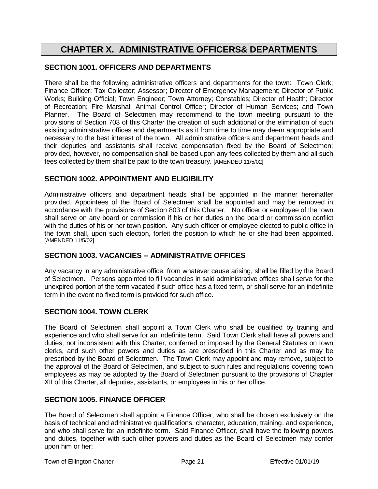## **CHAPTER X. ADMINISTRATIVE OFFICERS& DEPARTMENTS**

## **SECTION 1001. OFFICERS AND DEPARTMENTS**

There shall be the following administrative officers and departments for the town: Town Clerk; Finance Officer; Tax Collector; Assessor; Director of Emergency Management; Director of Public Works; Building Official; Town Engineer; Town Attorney; Constables; Director of Health; Director of Recreation; Fire Marshal; Animal Control Officer; Director of Human Services; and Town Planner. The Board of Selectmen may recommend to the town meeting pursuant to the provisions of Section 703 of this Charter the creation of such additional or the elimination of such existing administrative offices and departments as it from time to time may deem appropriate and necessary to the best interest of the town. All administrative officers and department heads and their deputies and assistants shall receive compensation fixed by the Board of Selectmen; provided, however, no compensation shall be based upon any fees collected by them and all such fees collected by them shall be paid to the town treasury. [AMENDED 11/5/02]

## **SECTION 1002. APPOINTMENT AND ELIGIBILITY**

Administrative officers and department heads shall be appointed in the manner hereinafter provided. Appointees of the Board of Selectmen shall be appointed and may be removed in accordance with the provisions of Section 803 of this Charter. No officer or employee of the town shall serve on any board or commission if his or her duties on the board or commission conflict with the duties of his or her town position. Any such officer or employee elected to public office in the town shall, upon such election, forfeit the position to which he or she had been appointed. [AMENDED 11/5/02]

## **SECTION 1003. VACANCIES -- ADMINISTRATIVE OFFICES**

Any vacancy in any administrative office, from whatever cause arising, shall be filled by the Board of Selectmen. Persons appointed to fill vacancies in said administrative offices shall serve for the unexpired portion of the term vacated if such office has a fixed term, or shall serve for an indefinite term in the event no fixed term is provided for such office.

## **SECTION 1004. TOWN CLERK**

The Board of Selectmen shall appoint a Town Clerk who shall be qualified by training and experience and who shall serve for an indefinite term. Said Town Clerk shall have all powers and duties, not inconsistent with this Charter, conferred or imposed by the General Statutes on town clerks, and such other powers and duties as are prescribed in this Charter and as may be prescribed by the Board of Selectmen. The Town Clerk may appoint and may remove, subject to the approval of the Board of Selectmen, and subject to such rules and regulations covering town employees as may be adopted by the Board of Selectmen pursuant to the provisions of Chapter XII of this Charter, all deputies, assistants, or employees in his or her office.

## **SECTION 1005. FINANCE OFFICER**

The Board of Selectmen shall appoint a Finance Officer, who shall be chosen exclusively on the basis of technical and administrative qualifications, character, education, training, and experience, and who shall serve for an indefinite term. Said Finance Officer, shall have the following powers and duties, together with such other powers and duties as the Board of Selectmen may confer upon him or her: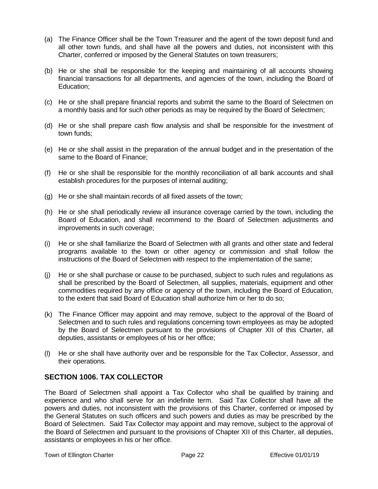- (a) The Finance Officer shall be the Town Treasurer and the agent of the town deposit fund and all other town funds, and shall have all the powers and duties, not inconsistent with this Charter, conferred or imposed by the General Statutes on town treasurers;
- (b) He or she shall be responsible for the keeping and maintaining of all accounts showing financial transactions for all departments, and agencies of the town, including the Board of Education;
- (c) He or she shall prepare financial reports and submit the same to the Board of Selectmen on a monthly basis and for such other periods as may be required by the Board of Selectmen;
- (d) He or she shall prepare cash flow analysis and shall be responsible for the investment of town funds;
- (e) He or she shall assist in the preparation of the annual budget and in the presentation of the same to the Board of Finance;
- (f) He or she shall be responsible for the monthly reconciliation of all bank accounts and shall establish procedures for the purposes of internal auditing;
- (g) He or she shall maintain records of all fixed assets of the town;
- (h) He or she shall periodically review all insurance coverage carried by the town, including the Board of Education, and shall recommend to the Board of Selectmen adjustments and improvements in such coverage;
- (i) He or she shall familiarize the Board of Selectmen with all grants and other state and federal programs available to the town or other agency or commission and shall follow the instructions of the Board of Selectmen with respect to the implementation of the same;
- (j) He or she shall purchase or cause to be purchased, subject to such rules and regulations as shall be prescribed by the Board of Selectmen, all supplies, materials, equipment and other commodities required by any office or agency of the town, including the Board of Education, to the extent that said Board of Education shall authorize him or her to do so;
- (k) The Finance Officer may appoint and may remove, subject to the approval of the Board of Selectmen and to such rules and regulations concerning town employees as may be adopted by the Board of Selectmen pursuant to the provisions of Chapter XII of this Charter, all deputies, assistants or employees of his or her office;
- (l) He or she shall have authority over and be responsible for the Tax Collector, Assessor, and their operations.

## **SECTION 1006. TAX COLLECTOR**

The Board of Selectmen shall appoint a Tax Collector who shall be qualified by training and experience and who shall serve for an indefinite term. Said Tax Collector shall have all the powers and duties, not inconsistent with the provisions of this Charter, conferred or imposed by the General Statutes on such officers and such powers and duties as may be prescribed by the Board of Selectmen. Said Tax Collector may appoint and may remove, subject to the approval of the Board of Selectmen and pursuant to the provisions of Chapter XII of this Charter, all deputies, assistants or employees in his or her office.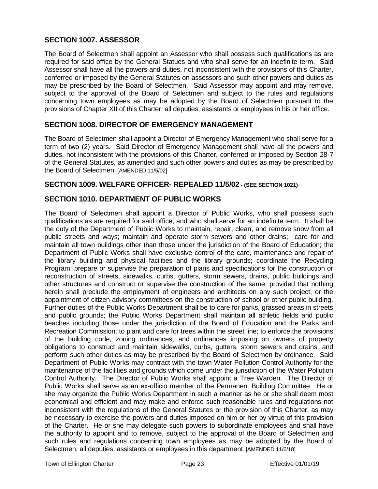## **SECTION 1007. ASSESSOR**

The Board of Selectmen shall appoint an Assessor who shall possess such qualifications as are required for said office by the General Statues and who shall serve for an indefinite term. Said Assessor shall have all the powers and duties, not inconsistent with the provisions of this Charter, conferred or imposed by the General Statutes on assessors and such other powers and duties as may be prescribed by the Board of Selectmen. Said Assessor may appoint and may remove, subject to the approval of the Board of Selectmen and subject to the rules and regulations concerning town employees as may be adopted by the Board of Selectmen pursuant to the provisions of Chapter XII of this Charter, all deputies, assistants or employees in his or her office.

## **SECTION 1008. DIRECTOR OF EMERGENCY MANAGEMENT**

The Board of Selectmen shall appoint a Director of Emergency Management who shall serve for a term of two (2) years. Said Director of Emergency Management shall have all the powers and duties, not inconsistent with the provisions of this Charter, conferred or imposed by Section 28-7 of the General Statutes, as amended and such other powers and duties as may be prescribed by the Board of Selectmen. [AMENDED 11/5/02]

#### **SECTION 1009. WELFARE OFFICER- REPEALED 11/5/02 - (SEE SECTION 1021)**

#### **SECTION 1010. DEPARTMENT OF PUBLIC WORKS**

The Board of Selectmen shall appoint a Director of Public Works, who shall possess such qualifications as are required for said office, and who shall serve for an indefinite term. It shall be the duty of the Department of Public Works to maintain, repair, clean, and remove snow from all public streets and ways; maintain and operate storm sewers and other drains; care for and maintain all town buildings other than those under the jurisdiction of the Board of Education; the Department of Public Works shall have exclusive control of the care, maintenance and repair of the library building and physical facilities and the library grounds; coordinate the Recycling Program; prepare or supervise the preparation of plans and specifications for the construction or reconstruction of streets, sidewalks, curbs, gutters, storm sewers, drains, public buildings and other structures and construct or supervise the construction of the same, provided that nothing herein shall preclude the employment of engineers and architects on any such project, or the appointment of citizen advisory committees on the construction of school or other public building. Further duties of the Public Works Department shall be to care for parks, grassed areas in streets and public grounds; the Public Works Department shall maintain all athletic fields and public beaches including those under the jurisdiction of the Board of Education and the Parks and Recreation Commission; to plant and care for trees within the street line; to enforce the provisions of the building code, zoning ordinances, and ordinances imposing on owners of property obligations to construct and maintain sidewalks, curbs, gutters, storm sewers and drains; and perform such other duties as may be prescribed by the Board of Selectmen by ordinance. Said Department of Public Works may contract with the town Water Pollution Control Authority for the maintenance of the facilities and grounds which come under the jurisdiction of the Water Pollution Control Authority. The Director of Public Works shall appoint a Tree Warden. The Director of Public Works shall serve as an ex-officio member of the Permanent Building Committee. He or she may organize the Public Works Department in such a manner as he or she shall deem most economical and efficient and may make and enforce such reasonable rules and regulations not inconsistent with the regulations of the General Statutes or the provision of this Charter, as may be necessary to exercise the powers and duties imposed on him or her by virtue of this provision of the Charter. He or she may delegate such powers to subordinate employees and shall have the authority to appoint and to remove, subject to the approval of the Board of Selectmen and such rules and regulations concerning town employees as may be adopted by the Board of Selectmen, all deputies, assistants or employees in this department. [AMENDED 11/6/18]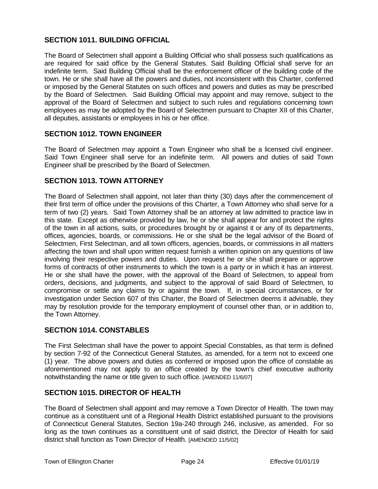## **SECTION 1011. BUILDING OFFICIAL**

The Board of Selectmen shall appoint a Building Official who shall possess such qualifications as are required for said office by the General Statutes. Said Building Official shall serve for an indefinite term. Said Building Official shall be the enforcement officer of the building code of the town. He or she shall have all the powers and duties, not inconsistent with this Charter, conferred or imposed by the General Statutes on such offices and powers and duties as may be prescribed by the Board of Selectmen. Said Building Official may appoint and may remove, subject to the approval of the Board of Selectmen and subject to such rules and regulations concerning town employees as may be adopted by the Board of Selectmen pursuant to Chapter XII of this Charter, all deputies, assistants or employees in his or her office.

#### **SECTION 1012. TOWN ENGINEER**

The Board of Selectmen may appoint a Town Engineer who shall be a licensed civil engineer. Said Town Engineer shall serve for an indefinite term. All powers and duties of said Town Engineer shall be prescribed by the Board of Selectmen.

## **SECTION 1013. TOWN ATTORNEY**

The Board of Selectmen shall appoint, not later than thirty (30) days after the commencement of their first term of office under the provisions of this Charter, a Town Attorney who shall serve for a term of two (2) years. Said Town Attorney shall be an attorney at law admitted to practice law in this state. Except as otherwise provided by law, he or she shall appear for and protect the rights of the town in all actions, suits, or procedures brought by or against it or any of its departments, offices, agencies, boards, or commissions. He or she shall be the legal advisor of the Board of Selectmen, First Selectman, and all town officers, agencies, boards, or commissions in all matters affecting the town and shall upon written request furnish a written opinion on any questions of law involving their respective powers and duties. Upon request he or she shall prepare or approve forms of contracts of other instruments to which the town is a party or in which it has an interest. He or she shall have the power, with the approval of the Board of Selectmen, to appeal from orders, decisions, and judgments, and subject to the approval of said Board of Selectmen, to compromise or settle any claims by or against the town. If, in special circumstances, or for investigation under Section 607 of this Charter, the Board of Selectmen deems it advisable, they may by resolution provide for the temporary employment of counsel other than, or in addition to, the Town Attorney.

## **SECTION 1014. CONSTABLES**

The First Selectman shall have the power to appoint Special Constables, as that term is defined by section 7-92 of the Connecticut General Statutes, as amended, for a term not to exceed one (1) year. The above powers and duties as conferred or imposed upon the office of constable as aforementioned may not apply to an office created by the town's chief executive authority notwithstanding the name or title given to such office. [AMENDED 11/6/07]

#### **SECTION 1015. DIRECTOR OF HEALTH**

The Board of Selectmen shall appoint and may remove a Town Director of Health. The town may continue as a constituent unit of a Regional Health District established pursuant to the provisions of Connecticut General Statutes, Section 19a-240 through 246, inclusive, as amended. For so long as the town continues as a constituent unit of said district, the Director of Health for said district shall function as Town Director of Health. [AMENDED 11/5/02]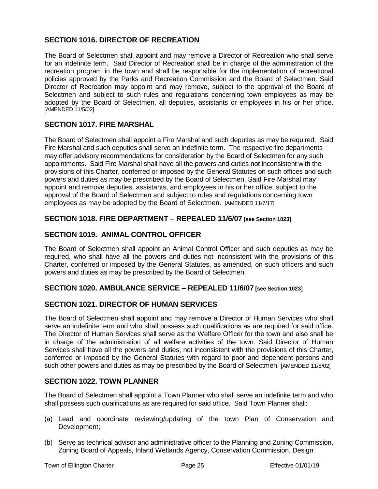## **SECTION 1016. DIRECTOR OF RECREATION**

The Board of Selectmen shall appoint and may remove a Director of Recreation who shall serve for an indefinite term. Said Director of Recreation shall be in charge of the administration of the recreation program in the town and shall be responsible for the implementation of recreational policies approved by the Parks and Recreation Commission and the Board of Selectmen. Said Director of Recreation may appoint and may remove, subject to the approval of the Board of Selectmen and subject to such rules and regulations concerning town employees as may be adopted by the Board of Selectmen, all deputies, assistants or employees in his or her office. [AMENDED 11/5/02]

#### **SECTION 1017. FIRE MARSHAL**

The Board of Selectmen shall appoint a Fire Marshal and such deputies as may be required. Said Fire Marshal and such deputies shall serve an indefinite term. The respective fire departments may offer advisory recommendations for consideration by the Board of Selectmen for any such appointments. Said Fire Marshal shall have all the powers and duties not inconsistent with the provisions of this Charter, conferred or imposed by the General Statutes on such offices and such powers and duties as may be prescribed by the Board of Selectmen. Said Fire Marshal may appoint and remove deputies, assistants, and employees in his or her office, subject to the approval of the Board of Selectmen and subject to rules and regulations concerning town employees as may be adopted by the Board of Selectmen. [AMENDED 11/7/17]

#### **SECTION 1018. FIRE DEPARTMENT – REPEALED 11/6/07 [see Section 1023]**

## **SECTION 1019. ANIMAL CONTROL OFFICER**

The Board of Selectmen shall appoint an Animal Control Officer and such deputies as may be required, who shall have all the powers and duties not inconsistent with the provisions of this Charter, conferred or imposed by the General Statutes, as amended, on such officers and such powers and duties as may be prescribed by the Board of Selectmen.

#### **SECTION 1020. AMBULANCE SERVICE – REPEALED 11/6/07 [see Section 1023]**

## **SECTION 1021. DIRECTOR OF HUMAN SERVICES**

The Board of Selectmen shall appoint and may remove a Director of Human Services who shall serve an indefinite term and who shall possess such qualifications as are required for said office. The Director of Human Services shall serve as the Welfare Officer for the town and also shall be in charge of the administration of all welfare activities of the town. Said Director of Human Services shall have all the powers and duties, not inconsistent with the provisions of this Charter, conferred or imposed by the General Statutes with regard to poor and dependent persons and such other powers and duties as may be prescribed by the Board of Selectmen. [AMENDED 11/5/02]

## **SECTION 1022. TOWN PLANNER**

The Board of Selectmen shall appoint a Town Planner who shall serve an indefinite term and who shall possess such qualifications as are required for said office. Said Town Planner shall:

- (a) Lead and coordinate reviewing/updating of the town Plan of Conservation and Development;
- (b) Serve as technical advisor and administrative officer to the Planning and Zoning Commission, Zoning Board of Appeals, Inland Wetlands Agency, Conservation Commission, Design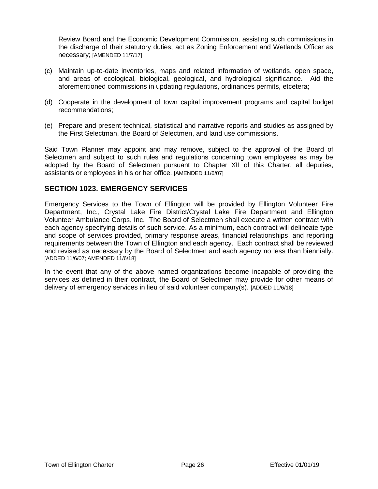Review Board and the Economic Development Commission, assisting such commissions in the discharge of their statutory duties; act as Zoning Enforcement and Wetlands Officer as necessary; [AMENDED 11/7/17]

- (c) Maintain up-to-date inventories, maps and related information of wetlands, open space, and areas of ecological, biological, geological, and hydrological significance. Aid the aforementioned commissions in updating regulations, ordinances permits, etcetera;
- (d) Cooperate in the development of town capital improvement programs and capital budget recommendations;
- (e) Prepare and present technical, statistical and narrative reports and studies as assigned by the First Selectman, the Board of Selectmen, and land use commissions.

Said Town Planner may appoint and may remove, subject to the approval of the Board of Selectmen and subject to such rules and regulations concerning town employees as may be adopted by the Board of Selectmen pursuant to Chapter XII of this Charter, all deputies, assistants or employees in his or her office. [AMENDED 11/6/07]

#### **SECTION 1023. EMERGENCY SERVICES**

Emergency Services to the Town of Ellington will be provided by Ellington Volunteer Fire Department, Inc., Crystal Lake Fire District/Crystal Lake Fire Department and Ellington Volunteer Ambulance Corps, Inc. The Board of Selectmen shall execute a written contract with each agency specifying details of such service. As a minimum, each contract will delineate type and scope of services provided, primary response areas, financial relationships, and reporting requirements between the Town of Ellington and each agency. Each contract shall be reviewed and revised as necessary by the Board of Selectmen and each agency no less than biennially. [ADDED 11/6/07; AMENDED 11/6/18]

In the event that any of the above named organizations become incapable of providing the services as defined in their contract, the Board of Selectmen may provide for other means of delivery of emergency services in lieu of said volunteer company(s). [ADDED 11/6/18]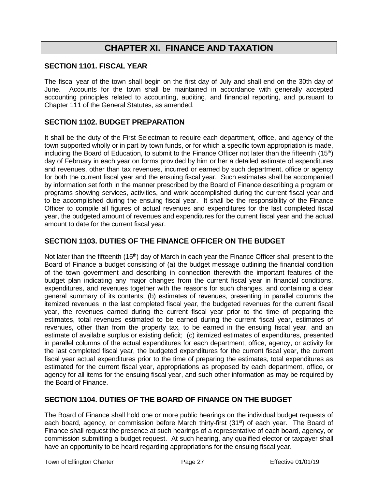## **CHAPTER XI. FINANCE AND TAXATION**

#### **SECTION 1101. FISCAL YEAR**

The fiscal year of the town shall begin on the first day of July and shall end on the 30th day of June. Accounts for the town shall be maintained in accordance with generally accepted accounting principles related to accounting, auditing, and financial reporting, and pursuant to Chapter 111 of the General Statutes, as amended.

### **SECTION 1102. BUDGET PREPARATION**

It shall be the duty of the First Selectman to require each department, office, and agency of the town supported wholly or in part by town funds, or for which a specific town appropriation is made, including the Board of Education, to submit to the Finance Officer not later than the fifteenth (15<sup>th</sup>) day of February in each year on forms provided by him or her a detailed estimate of expenditures and revenues, other than tax revenues, incurred or earned by such department, office or agency for both the current fiscal year and the ensuing fiscal year. Such estimates shall be accompanied by information set forth in the manner prescribed by the Board of Finance describing a program or programs showing services, activities, and work accomplished during the current fiscal year and to be accomplished during the ensuing fiscal year. It shall be the responsibility of the Finance Officer to compile all figures of actual revenues and expenditures for the last completed fiscal year, the budgeted amount of revenues and expenditures for the current fiscal year and the actual amount to date for the current fiscal year.

#### **SECTION 1103. DUTIES OF THE FINANCE OFFICER ON THE BUDGET**

Not later than the fifteenth (15<sup>th</sup>) day of March in each year the Finance Officer shall present to the Board of Finance a budget consisting of (a) the budget message outlining the financial condition of the town government and describing in connection therewith the important features of the budget plan indicating any major changes from the current fiscal year in financial conditions, expenditures, and revenues together with the reasons for such changes, and containing a clear general summary of its contents; (b) estimates of revenues, presenting in parallel columns the itemized revenues in the last completed fiscal year, the budgeted revenues for the current fiscal year, the revenues earned during the current fiscal year prior to the time of preparing the estimates, total revenues estimated to be earned during the current fiscal year, estimates of revenues, other than from the property tax, to be earned in the ensuing fiscal year, and an estimate of available surplus or existing deficit; (c) itemized estimates of expenditures, presented in parallel columns of the actual expenditures for each department, office, agency, or activity for the last completed fiscal year, the budgeted expenditures for the current fiscal year, the current fiscal year actual expenditures prior to the time of preparing the estimates, total expenditures as estimated for the current fiscal year, appropriations as proposed by each department, office, or agency for all items for the ensuing fiscal year, and such other information as may be required by the Board of Finance.

#### **SECTION 1104. DUTIES OF THE BOARD OF FINANCE ON THE BUDGET**

The Board of Finance shall hold one or more public hearings on the individual budget requests of each board, agency, or commission before March thirty-first (31<sup>st</sup>) of each year. The Board of Finance shall request the presence at such hearings of a representative of each board, agency, or commission submitting a budget request. At such hearing, any qualified elector or taxpayer shall have an opportunity to be heard regarding appropriations for the ensuing fiscal year.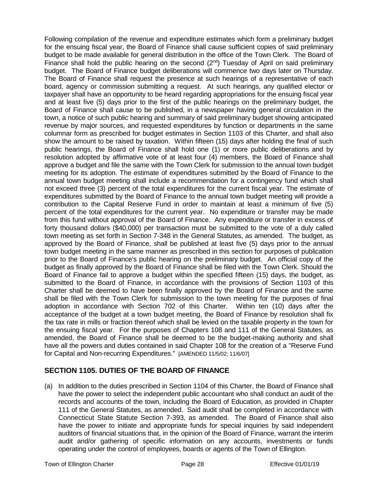Following compilation of the revenue and expenditure estimates which form a preliminary budget for the ensuing fiscal year, the Board of Finance shall cause sufficient copies of said preliminary budget to be made available for general distribution in the office of the Town Clerk. The Board of Finance shall hold the public hearing on the second  $(2^{nd})$  Tuesday of April on said preliminary budget. The Board of Finance budget deliberations will commence two days later on Thursday. The Board of Finance shall request the presence at such hearings of a representative of each board, agency or commission submitting a request. At such hearings, any qualified elector or taxpayer shall have an opportunity to be heard regarding appropriations for the ensuing fiscal year and at least five (5) days prior to the first of the public hearings on the preliminary budget, the Board of Finance shall cause to be published, in a newspaper having general circulation in the town, a notice of such public hearing and summary of said preliminary budget showing anticipated revenue by major sources, and requested expenditures by function or departments in the same columnar form as prescribed for budget estimates in Section 1103 of this Charter, and shall also show the amount to be raised by taxation. Within fifteen (15) days after holding the final of such public hearings, the Board of Finance shall hold one (1) or more public deliberations and by resolution adopted by affirmative vote of at least four (4) members, the Board of Finance shall approve a budget and file the same with the Town Clerk for submission to the annual town budget meeting for its adoption. The estimate of expenditures submitted by the Board of Finance to the annual town budget meeting shall include a recommendation for a contingency fund which shall not exceed three (3) percent of the total expenditures for the current fiscal year. The estimate of expenditures submitted by the Board of Finance to the annual town budget meeting will provide a contribution to the Capital Reserve Fund in order to maintain at least a minimum of five (5) percent of the total expenditures for the current year. No expenditure or transfer may be made from this fund without approval of the Board of Finance. Any expenditure or transfer in excess of forty thousand dollars (\$40,000) per transaction must be submitted to the vote of a duly called town meeting as set forth in Section 7-348 in the General Statutes, as amended. The budget, as approved by the Board of Finance, shall be published at least five (5) days prior to the annual town budget meeting in the same manner as prescribed in this section for purposes of publication prior to the Board of Finance's public hearing on the preliminary budget. An official copy of the budget as finally approved by the Board of Finance shall be filed with the Town Clerk. Should the Board of Finance fail to approve a budget within the specified fifteen (15) days, the budget, as submitted to the Board of Finance, in accordance with the provisions of Section 1103 of this Charter shall be deemed to have been finally approved by the Board of Finance and the same shall be filed with the Town Clerk for submission to the town meeting for the purposes of final adoption in accordance with Section 702 of this Charter. Within ten (10) days after the acceptance of the budget at a town budget meeting, the Board of Finance by resolution shall fix the tax rate in mills or fraction thereof which shall be levied on the taxable property in the town for the ensuing fiscal year. For the purposes of Chapters 108 and 111 of the General Statutes, as amended, the Board of Finance shall be deemed to be the budget-making authority and shall have all the powers and duties contained in said Chapter 108 for the creation of a "Reserve Fund for Capital and Non-recurring Expenditures." [AMENDED 11/5/02; 11/6/07]

## **SECTION 1105. DUTIES OF THE BOARD OF FINANCE**

(a) In addition to the duties prescribed in Section 1104 of this Charter, the Board of Finance shall have the power to select the independent public accountant who shall conduct an audit of the records and accounts of the town, including the Board of Education, as provided in Chapter 111 of the General Statutes, as amended. Said audit shall be completed in accordance with Connecticut State Statute Section 7-393, as amended. The Board of Finance shall also have the power to initiate and appropriate funds for special inquiries by said independent auditors of financial situations that, in the opinion of the Board of Finance, warrant the interim audit and/or gathering of specific information on any accounts, investments or funds operating under the control of employees, boards or agents of the Town of Ellington.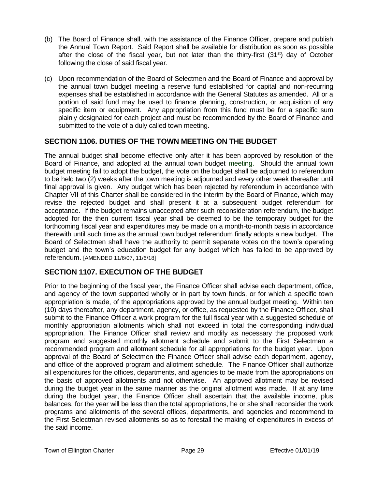- (b) The Board of Finance shall, with the assistance of the Finance Officer, prepare and publish the Annual Town Report. Said Report shall be available for distribution as soon as possible after the close of the fiscal year, but not later than the thirty-first  $(31<sup>st</sup>)$  day of October following the close of said fiscal year.
- (c) Upon recommendation of the Board of Selectmen and the Board of Finance and approval by the annual town budget meeting a reserve fund established for capital and non-recurring expenses shall be established in accordance with the General Statutes as amended. All or a portion of said fund may be used to finance planning, construction, or acquisition of any specific item or equipment. Any appropriation from this fund must be for a specific sum plainly designated for each project and must be recommended by the Board of Finance and submitted to the vote of a duly called town meeting.

## **SECTION 1106. DUTIES OF THE TOWN MEETING ON THE BUDGET**

The annual budget shall become effective only after it has been approved by resolution of the Board of Finance, and adopted at the annual town budget meeting. Should the annual town budget meeting fail to adopt the budget, the vote on the budget shall be adjourned to referendum to be held two (2) weeks after the town meeting is adjourned and every other week thereafter until final approval is given. Any budget which has been rejected by referendum in accordance with Chapter VII of this Charter shall be considered in the interim by the Board of Finance, which may revise the rejected budget and shall present it at a subsequent budget referendum for acceptance. If the budget remains unaccepted after such reconsideration referendum, the budget adopted for the then current fiscal year shall be deemed to be the temporary budget for the forthcoming fiscal year and expenditures may be made on a month-to-month basis in accordance therewith until such time as the annual town budget referendum finally adopts a new budget. The Board of Selectmen shall have the authority to permit separate votes on the town's operating budget and the town's education budget for any budget which has failed to be approved by referendum. [AMENDED 11/6/07, 11/6/18]

## **SECTION 1107. EXECUTION OF THE BUDGET**

Prior to the beginning of the fiscal year, the Finance Officer shall advise each department, office, and agency of the town supported wholly or in part by town funds, or for which a specific town appropriation is made, of the appropriations approved by the annual budget meeting. Within ten (10) days thereafter, any department, agency, or office, as requested by the Finance Officer, shall submit to the Finance Officer a work program for the full fiscal year with a suggested schedule of monthly appropriation allotments which shall not exceed in total the corresponding individual appropriation. The Finance Officer shall review and modify as necessary the proposed work program and suggested monthly allotment schedule and submit to the First Selectman a recommended program and allotment schedule for all appropriations for the budget year. Upon approval of the Board of Selectmen the Finance Officer shall advise each department, agency, and office of the approved program and allotment schedule. The Finance Officer shall authorize all expenditures for the offices, departments, and agencies to be made from the appropriations on the basis of approved allotments and not otherwise. An approved allotment may be revised during the budget year in the same manner as the original allotment was made. If at any time during the budget year, the Finance Officer shall ascertain that the available income, plus balances, for the year will be less than the total appropriations, he or she shall reconsider the work programs and allotments of the several offices, departments, and agencies and recommend to the First Selectman revised allotments so as to forestall the making of expenditures in excess of the said income.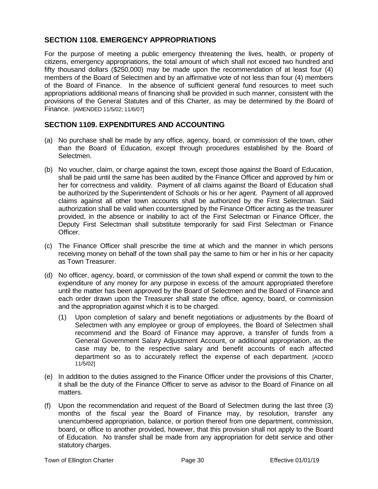## **SECTION 1108. EMERGENCY APPROPRIATIONS**

For the purpose of meeting a public emergency threatening the lives, health, or property of citizens, emergency appropriations, the total amount of which shall not exceed two hundred and fifty thousand dollars (\$250,000) may be made upon the recommendation of at least four (4) members of the Board of Selectmen and by an affirmative vote of not less than four (4) members of the Board of Finance. In the absence of sufficient general fund resources to meet such appropriations additional means of financing shall be provided in such manner, consistent with the provisions of the General Statutes and of this Charter, as may be determined by the Board of Finance. [AMENDED 11/5/02; 11/6/07]

## **SECTION 1109. EXPENDITURES AND ACCOUNTING**

- (a) No purchase shall be made by any office, agency, board, or commission of the town, other than the Board of Education, except through procedures established by the Board of Selectmen.
- (b) No voucher, claim, or charge against the town, except those against the Board of Education, shall be paid until the same has been audited by the Finance Officer and approved by him or her for correctness and validity. Payment of all claims against the Board of Education shall be authorized by the Superintendent of Schools or his or her agent. Payment of all approved claims against all other town accounts shall be authorized by the First Selectman. Said authorization shall be valid when countersigned by the Finance Officer acting as the treasurer provided, in the absence or inability to act of the First Selectman or Finance Officer, the Deputy First Selectman shall substitute temporarily for said First Selectman or Finance Officer.
- (c) The Finance Officer shall prescribe the time at which and the manner in which persons receiving money on behalf of the town shall pay the same to him or her in his or her capacity as Town Treasurer.
- (d) No officer, agency, board, or commission of the town shall expend or commit the town to the expenditure of any money for any purpose in excess of the amount appropriated therefore until the matter has been approved by the Board of Selectmen and the Board of Finance and each order drawn upon the Treasurer shall state the office, agency, board, or commission and the appropriation against which it is to be charged.
	- (1) Upon completion of salary and benefit negotiations or adjustments by the Board of Selectmen with any employee or group of employees, the Board of Selectmen shall recommend and the Board of Finance may approve, a transfer of funds from a General Government Salary Adjustment Account, or additional appropriation, as the case may be, to the respective salary and benefit accounts of each affected department so as to accurately reflect the expense of each department. [ADDED 11/5/02]
- (e) In addition to the duties assigned to the Finance Officer under the provisions of this Charter, it shall be the duty of the Finance Officer to serve as advisor to the Board of Finance on all matters.
- (f) Upon the recommendation and request of the Board of Selectmen during the last three (3) months of the fiscal year the Board of Finance may, by resolution, transfer any unencumbered appropriation, balance, or portion thereof from one department, commission, board, or office to another provided, however, that this provision shall not apply to the Board of Education. No transfer shall be made from any appropriation for debt service and other statutory charges.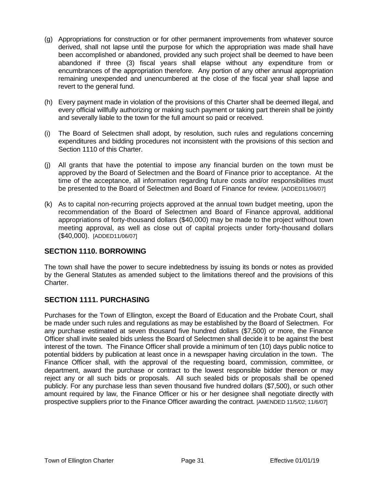- (g) Appropriations for construction or for other permanent improvements from whatever source derived, shall not lapse until the purpose for which the appropriation was made shall have been accomplished or abandoned, provided any such project shall be deemed to have been abandoned if three (3) fiscal years shall elapse without any expenditure from or encumbrances of the appropriation therefore. Any portion of any other annual appropriation remaining unexpended and unencumbered at the close of the fiscal year shall lapse and revert to the general fund.
- (h) Every payment made in violation of the provisions of this Charter shall be deemed illegal, and every official willfully authorizing or making such payment or taking part therein shall be jointly and severally liable to the town for the full amount so paid or received.
- (i) The Board of Selectmen shall adopt, by resolution, such rules and regulations concerning expenditures and bidding procedures not inconsistent with the provisions of this section and Section 1110 of this Charter.
- (j) All grants that have the potential to impose any financial burden on the town must be approved by the Board of Selectmen and the Board of Finance prior to acceptance. At the time of the acceptance, all information regarding future costs and/or responsibilities must be presented to the Board of Selectmen and Board of Finance for review. [ADDED11/06/07]
- (k) As to capital non-recurring projects approved at the annual town budget meeting, upon the recommendation of the Board of Selectmen and Board of Finance approval, additional appropriations of forty-thousand dollars (\$40,000) may be made to the project without town meeting approval, as well as close out of capital projects under forty-thousand dollars (\$40,000). [ADDED11/06/07]

## **SECTION 1110. BORROWING**

The town shall have the power to secure indebtedness by issuing its bonds or notes as provided by the General Statutes as amended subject to the limitations thereof and the provisions of this Charter.

## **SECTION 1111. PURCHASING**

Purchases for the Town of Ellington, except the Board of Education and the Probate Court, shall be made under such rules and regulations as may be established by the Board of Selectmen. For any purchase estimated at seven thousand five hundred dollars (\$7,500) or more, the Finance Officer shall invite sealed bids unless the Board of Selectmen shall decide it to be against the best interest of the town. The Finance Officer shall provide a minimum of ten (10) days public notice to potential bidders by publication at least once in a newspaper having circulation in the town. The Finance Officer shall, with the approval of the requesting board, commission, committee, or department, award the purchase or contract to the lowest responsible bidder thereon or may reject any or all such bids or proposals. All such sealed bids or proposals shall be opened publicly. For any purchase less than seven thousand five hundred dollars (\$7,500), or such other amount required by law, the Finance Officer or his or her designee shall negotiate directly with prospective suppliers prior to the Finance Officer awarding the contract. [AMENDED 11/5/02; 11/6/07]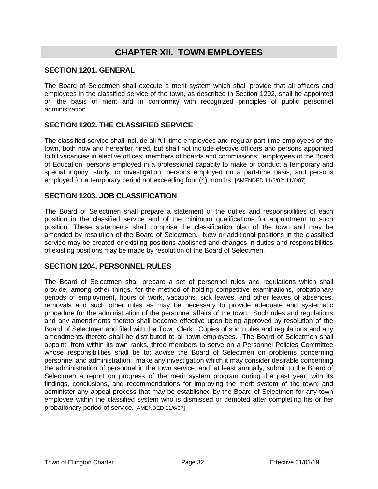## **CHAPTER XII. TOWN EMPLOYEES**

#### **SECTION 1201. GENERAL**

The Board of Selectmen shall execute a merit system which shall provide that all officers and employees in the classified service of the town, as described in Section 1202, shall be appointed on the basis of merit and in conformity with recognized principles of public personnel administration.

### **SECTION 1202. THE CLASSIFIED SERVICE**

The classified service shall include all full-time employees and regular part-time employees of the town, both now and hereafter hired, but shall not include elective officers and persons appointed to fill vacancies in elective offices; members of boards and commissions; employees of the Board of Education; persons employed in a professional capacity to make or conduct a temporary and special inquiry, study, or investigation; persons employed on a part-time basis; and persons employed for a temporary period not exceeding four (4) months. [AMENDED 11/5/02; 11/6/07]

#### **SECTION 1203. JOB CLASSIFICATION**

The Board of Selectmen shall prepare a statement of the duties and responsibilities of each position in the classified service and of the minimum qualifications for appointment to such position. These statements shall comprise the classification plan of the town and may be amended by resolution of the Board of Selectmen. New or additional positions in the classified service may be created or existing positions abolished and changes in duties and responsibilities of existing positions may be made by resolution of the Board of Selectmen.

#### **SECTION 1204. PERSONNEL RULES**

The Board of Selectmen shall prepare a set of personnel rules and regulations which shall provide, among other things, for the method of holding competitive examinations, probationary periods of employment, hours of work, vacations, sick leaves, and other leaves of absences, removals and such other rules as may be necessary to provide adequate and systematic procedure for the administration of the personnel affairs of the town. Such rules and regulations and any amendments thereto shall become effective upon being approved by resolution of the Board of Selectmen and filed with the Town Clerk. Copies of such rules and regulations and any amendments thereto shall be distributed to all town employees. The Board of Selectmen shall appoint, from within its own ranks, three members to serve on a Personnel Policies Committee whose responsibilities shall be to: advise the Board of Selectmen on problems concerning personnel and administration; make any investigation which it may consider desirable concerning the administration of personnel in the town service; and, at least annually, submit to the Board of Selectmen a report on progress of the merit system program during the past year, with its findings, conclusions, and recommendations for improving the merit system of the town; and administer any appeal process that may be established by the Board of Selectmen for any town employee within the classified system who is dismissed or demoted after completing his or her probationary period of service. [AMENDED 11/6/07]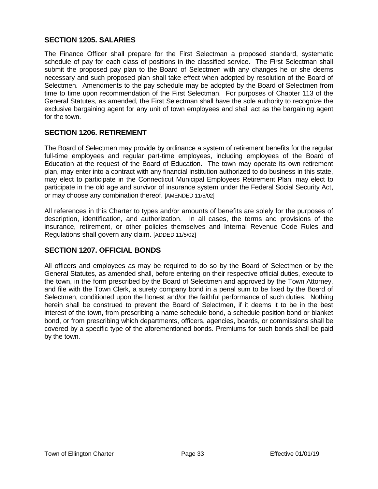## **SECTION 1205. SALARIES**

The Finance Officer shall prepare for the First Selectman a proposed standard, systematic schedule of pay for each class of positions in the classified service. The First Selectman shall submit the proposed pay plan to the Board of Selectmen with any changes he or she deems necessary and such proposed plan shall take effect when adopted by resolution of the Board of Selectmen. Amendments to the pay schedule may be adopted by the Board of Selectmen from time to time upon recommendation of the First Selectman. For purposes of Chapter 113 of the General Statutes, as amended, the First Selectman shall have the sole authority to recognize the exclusive bargaining agent for any unit of town employees and shall act as the bargaining agent for the town.

## **SECTION 1206. RETIREMENT**

The Board of Selectmen may provide by ordinance a system of retirement benefits for the regular full-time employees and regular part-time employees, including employees of the Board of Education at the request of the Board of Education. The town may operate its own retirement plan, may enter into a contract with any financial institution authorized to do business in this state, may elect to participate in the Connecticut Municipal Employees Retirement Plan, may elect to participate in the old age and survivor of insurance system under the Federal Social Security Act, or may choose any combination thereof. [AMENDED 11/5/02]

All references in this Charter to types and/or amounts of benefits are solely for the purposes of description, identification, and authorization. In all cases, the terms and provisions of the insurance, retirement, or other policies themselves and Internal Revenue Code Rules and Regulations shall govern any claim. [ADDED 11/5/02]

## **SECTION 1207. OFFICIAL BONDS**

All officers and employees as may be required to do so by the Board of Selectmen or by the General Statutes, as amended shall, before entering on their respective official duties, execute to the town, in the form prescribed by the Board of Selectmen and approved by the Town Attorney, and file with the Town Clerk, a surety company bond in a penal sum to be fixed by the Board of Selectmen, conditioned upon the honest and/or the faithful performance of such duties. Nothing herein shall be construed to prevent the Board of Selectmen, if it deems it to be in the best interest of the town, from prescribing a name schedule bond, a schedule position bond or blanket bond, or from prescribing which departments, officers, agencies, boards, or commissions shall be covered by a specific type of the aforementioned bonds. Premiums for such bonds shall be paid by the town.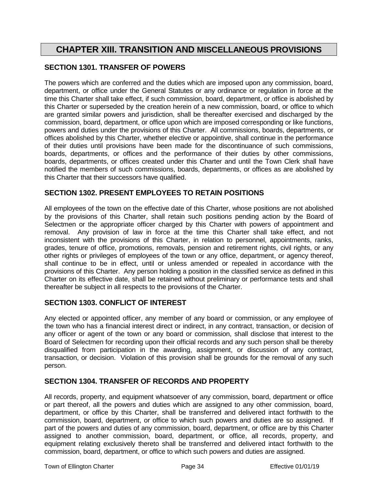## **CHAPTER XIII. TRANSITION AND MISCELLANEOUS PROVISIONS**

### **SECTION 1301. TRANSFER OF POWERS**

The powers which are conferred and the duties which are imposed upon any commission, board, department, or office under the General Statutes or any ordinance or regulation in force at the time this Charter shall take effect, if such commission, board, department, or office is abolished by this Charter or superseded by the creation herein of a new commission, board, or office to which are granted similar powers and jurisdiction, shall be thereafter exercised and discharged by the commission, board, department, or office upon which are imposed corresponding or like functions, powers and duties under the provisions of this Charter. All commissions, boards, departments, or offices abolished by this Charter, whether elective or appointive, shall continue in the performance of their duties until provisions have been made for the discontinuance of such commissions, boards, departments, or offices and the performance of their duties by other commissions, boards, departments, or offices created under this Charter and until the Town Clerk shall have notified the members of such commissions, boards, departments, or offices as are abolished by this Charter that their successors have qualified.

#### **SECTION 1302. PRESENT EMPLOYEES TO RETAIN POSITIONS**

All employees of the town on the effective date of this Charter, whose positions are not abolished by the provisions of this Charter, shall retain such positions pending action by the Board of Selectmen or the appropriate officer charged by this Charter with powers of appointment and removal. Any provision of law in force at the time this Charter shall take effect, and not inconsistent with the provisions of this Charter, in relation to personnel, appointments, ranks, grades, tenure of office, promotions, removals, pension and retirement rights, civil rights, or any other rights or privileges of employees of the town or any office, department, or agency thereof, shall continue to be in effect, until or unless amended or repealed in accordance with the provisions of this Charter. Any person holding a position in the classified service as defined in this Charter on its effective date, shall be retained without preliminary or performance tests and shall thereafter be subject in all respects to the provisions of the Charter.

## **SECTION 1303. CONFLICT OF INTEREST**

Any elected or appointed officer, any member of any board or commission, or any employee of the town who has a financial interest direct or indirect, in any contract, transaction, or decision of any officer or agent of the town or any board or commission, shall disclose that interest to the Board of Selectmen for recording upon their official records and any such person shall be thereby disqualified from participation in the awarding, assignment, or discussion of any contract, transaction, or decision. Violation of this provision shall be grounds for the removal of any such person.

### **SECTION 1304. TRANSFER OF RECORDS AND PROPERTY**

All records, property, and equipment whatsoever of any commission, board, department or office or part thereof, all the powers and duties which are assigned to any other commission, board, department, or office by this Charter, shall be transferred and delivered intact forthwith to the commission, board, department, or office to which such powers and duties are so assigned. If part of the powers and duties of any commission, board, department, or office are by this Charter assigned to another commission, board, department, or office, all records, property, and equipment relating exclusively thereto shall be transferred and delivered intact forthwith to the commission, board, department, or office to which such powers and duties are assigned.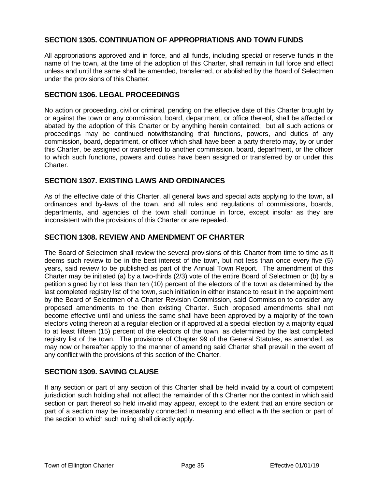## **SECTION 1305. CONTINUATION OF APPROPRIATIONS AND TOWN FUNDS**

All appropriations approved and in force, and all funds, including special or reserve funds in the name of the town, at the time of the adoption of this Charter, shall remain in full force and effect unless and until the same shall be amended, transferred, or abolished by the Board of Selectmen under the provisions of this Charter.

#### **SECTION 1306. LEGAL PROCEEDINGS**

No action or proceeding, civil or criminal, pending on the effective date of this Charter brought by or against the town or any commission, board, department, or office thereof, shall be affected or abated by the adoption of this Charter or by anything herein contained; but all such actions or proceedings may be continued notwithstanding that functions, powers, and duties of any commission, board, department, or officer which shall have been a party thereto may, by or under this Charter, be assigned or transferred to another commission, board, department, or the officer to which such functions, powers and duties have been assigned or transferred by or under this Charter.

#### **SECTION 1307. EXISTING LAWS AND ORDINANCES**

As of the effective date of this Charter, all general laws and special acts applying to the town, all ordinances and by-laws of the town, and all rules and regulations of commissions, boards, departments, and agencies of the town shall continue in force, except insofar as they are inconsistent with the provisions of this Charter or are repealed.

#### **SECTION 1308. REVIEW AND AMENDMENT OF CHARTER**

The Board of Selectmen shall review the several provisions of this Charter from time to time as it deems such review to be in the best interest of the town, but not less than once every five (5) years, said review to be published as part of the Annual Town Report. The amendment of this Charter may be initiated (a) by a two-thirds (2/3) vote of the entire Board of Selectmen or (b) by a petition signed by not less than ten (10) percent of the electors of the town as determined by the last completed registry list of the town, such initiation in either instance to result in the appointment by the Board of Selectmen of a Charter Revision Commission, said Commission to consider any proposed amendments to the then existing Charter. Such proposed amendments shall not become effective until and unless the same shall have been approved by a majority of the town electors voting thereon at a regular election or if approved at a special election by a majority equal to at least fifteen (15) percent of the electors of the town, as determined by the last completed registry list of the town. The provisions of Chapter 99 of the General Statutes, as amended, as may now or hereafter apply to the manner of amending said Charter shall prevail in the event of any conflict with the provisions of this section of the Charter.

#### **SECTION 1309. SAVING CLAUSE**

If any section or part of any section of this Charter shall be held invalid by a court of competent jurisdiction such holding shall not affect the remainder of this Charter nor the context in which said section or part thereof so held invalid may appear, except to the extent that an entire section or part of a section may be inseparably connected in meaning and effect with the section or part of the section to which such ruling shall directly apply.